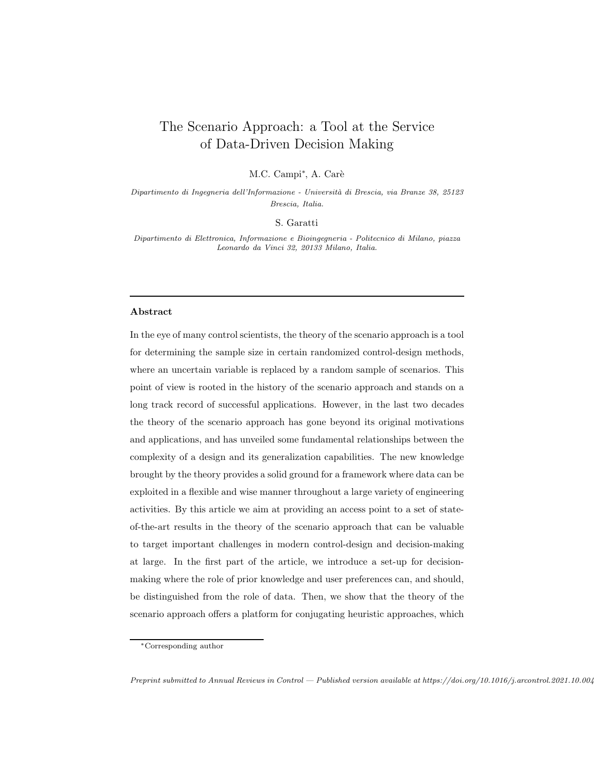# The Scenario Approach: a Tool at the Service of Data-Driven Decision Making

M.C. Campi<sup>\*</sup>, A. Carè

*Dipartimento di Ingegneria dell'Informazione - Universit`a di Brescia, via Branze 38, 25123 Brescia, Italia.*

S. Garatti

*Dipartimento di Elettronica, Informazione e Bioingegneria - Politecnico di Milano, piazza Leonardo da Vinci 32, 20133 Milano, Italia.*

#### Abstract

In the eye of many control scientists, the theory of the scenario approach is a tool for determining the sample size in certain randomized control-design methods, where an uncertain variable is replaced by a random sample of scenarios. This point of view is rooted in the history of the scenario approach and stands on a long track record of successful applications. However, in the last two decades the theory of the scenario approach has gone beyond its original motivations and applications, and has unveiled some fundamental relationships between the complexity of a design and its generalization capabilities. The new knowledge brought by the theory provides a solid ground for a framework where data can be exploited in a flexible and wise manner throughout a large variety of engineering activities. By this article we aim at providing an access point to a set of stateof-the-art results in the theory of the scenario approach that can be valuable to target important challenges in modern control-design and decision-making at large. In the first part of the article, we introduce a set-up for decisionmaking where the role of prior knowledge and user preferences can, and should, be distinguished from the role of data. Then, we show that the theory of the scenario approach offers a platform for conjugating heuristic approaches, which

*Preprint submitted to Annual Reviews in Control — Published version available at https://doi.org/10.1016/j.arcontrol.2021.10.004*

<sup>∗</sup>Corresponding author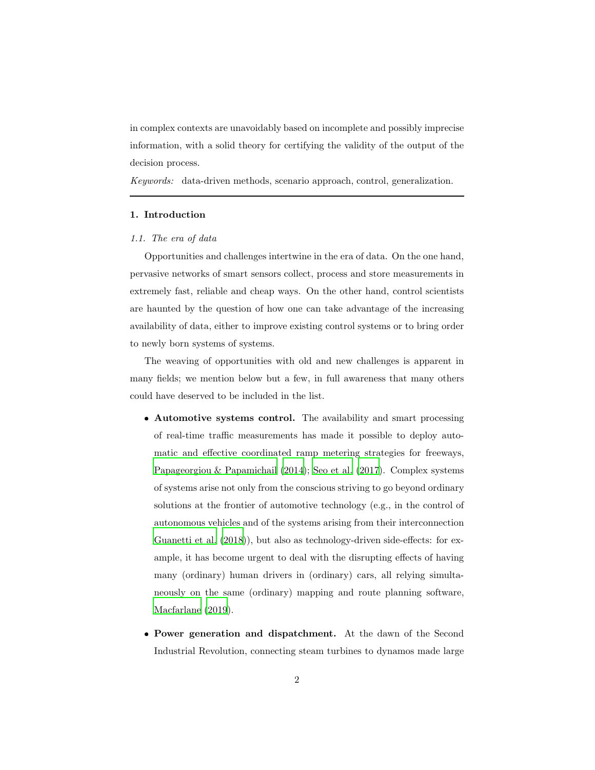in complex contexts are unavoidably based on incomplete and possibly imprecise information, with a solid theory for certifying the validity of the output of the decision process.

Keywords: data-driven methods, scenario approach, control, generalization.

## 1. Introduction

#### 1.1. The era of data

Opportunities and challenges intertwine in the era of data. On the one hand, pervasive networks of smart sensors collect, process and store measurements in extremely fast, reliable and cheap ways. On the other hand, control scientists are haunted by the question of how one can take advantage of the increasing availability of data, either to improve existing control systems or to bring order to newly born systems of systems.

The weaving of opportunities with old and new challenges is apparent in many fields; we mention below but a few, in full awareness that many others could have deserved to be included in the list.

- Automotive systems control. The availability and smart processing of real-time traffic measurements has made it possible to deploy automatic and effective coordinated ramp metering strategies for freeways, [Papageorgiou & Papamichail \(2014](#page-56-0)); [Seo et al. \(2017](#page-58-0)). Complex systems of systems arise not only from the conscious striving to go beyond ordinary solutions at the frontier of automotive technology (e.g., in the control of autonomous vehicles and of the systems arising from their interconnection [Guanetti et al. \(2018](#page-53-0))), but also as technology-driven side-effects: for example, it has become urgent to deal with the disrupting effects of having many (ordinary) human drivers in (ordinary) cars, all relying simultaneously on the same (ordinary) mapping and route planning software, [Macfarlane \(2019\)](#page-55-0).
- Power generation and dispatchment. At the dawn of the Second Industrial Revolution, connecting steam turbines to dynamos made large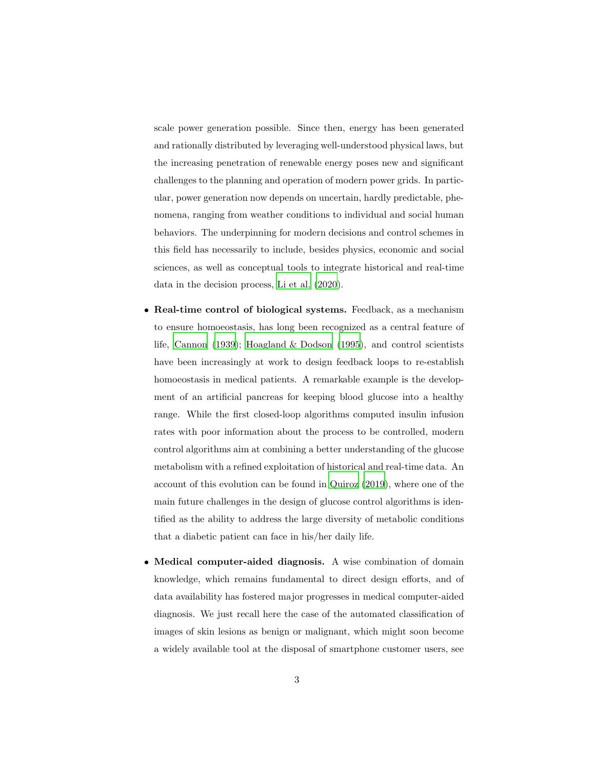scale power generation possible. Since then, energy has been generated and rationally distributed by leveraging well-understood physical laws, but the increasing penetration of renewable energy poses new and significant challenges to the planning and operation of modern power grids. In particular, power generation now depends on uncertain, hardly predictable, phenomena, ranging from weather conditions to individual and social human behaviors. The underpinning for modern decisions and control schemes in this field has necessarily to include, besides physics, economic and social sciences, as well as conceptual tools to integrate historical and real-time data in the decision process, [Li et al. \(2020\)](#page-55-1).

- Real-time control of biological systems. Feedback, as a mechanism to ensure homoeostasis, has long been recognized as a central feature of life, [Cannon \(1939](#page-50-0)); Hoagland  $\&$  Dodson (1995), and control scientists have been increasingly at work to design feedback loops to re-establish homoeostasis in medical patients. A remarkable example is the development of an artificial pancreas for keeping blood glucose into a healthy range. While the first closed-loop algorithms computed insulin infusion rates with poor information about the process to be controlled, modern control algorithms aim at combining a better understanding of the glucose metabolism with a refined exploitation of historical and real-time data. An account of this evolution can be found in [Quiroz \(2019\)](#page-57-0), where one of the main future challenges in the design of glucose control algorithms is identified as the ability to address the large diversity of metabolic conditions that a diabetic patient can face in his/her daily life.
- Medical computer-aided diagnosis. A wise combination of domain knowledge, which remains fundamental to direct design efforts, and of data availability has fostered major progresses in medical computer-aided diagnosis. We just recall here the case of the automated classification of images of skin lesions as benign or malignant, which might soon become a widely available tool at the disposal of smartphone customer users, see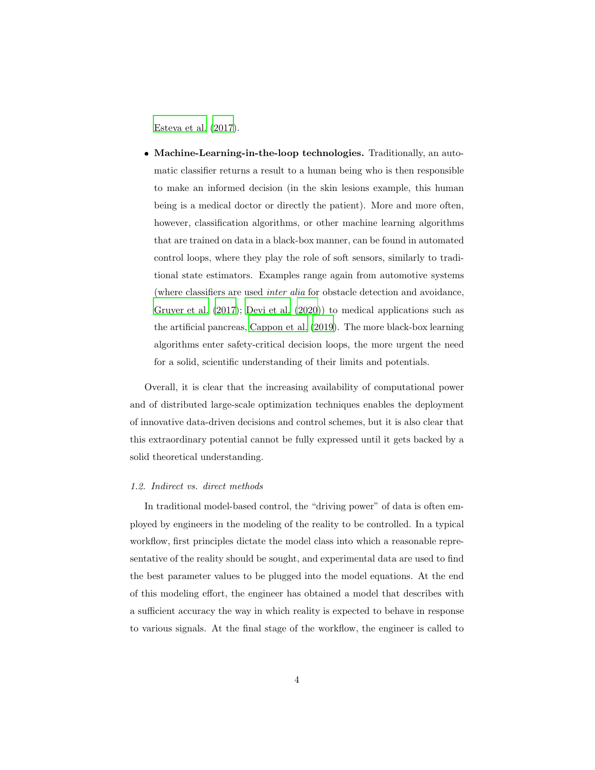[Esteva et al. \(2017\)](#page-52-0).

• Machine-Learning-in-the-loop technologies. Traditionally, an automatic classifier returns a result to a human being who is then responsible to make an informed decision (in the skin lesions example, this human being is a medical doctor or directly the patient). More and more often, however, classification algorithms, or other machine learning algorithms that are trained on data in a black-box manner, can be found in automated control loops, where they play the role of soft sensors, similarly to traditional state estimators. Examples range again from automotive systems (where classifiers are used inter alia for obstacle detection and avoidance, [Gruyer et al. \(2017\)](#page-53-1); [Devi et al. \(2020\)](#page-51-0)) to medical applications such as the artificial pancreas, [Cappon et al. \(2019](#page-50-1)). The more black-box learning algorithms enter safety-critical decision loops, the more urgent the need for a solid, scientific understanding of their limits and potentials.

Overall, it is clear that the increasing availability of computational power and of distributed large-scale optimization techniques enables the deployment of innovative data-driven decisions and control schemes, but it is also clear that this extraordinary potential cannot be fully expressed until it gets backed by a solid theoretical understanding.

#### 1.2. Indirect vs. direct methods

In traditional model-based control, the "driving power" of data is often employed by engineers in the modeling of the reality to be controlled. In a typical workflow, first principles dictate the model class into which a reasonable representative of the reality should be sought, and experimental data are used to find the best parameter values to be plugged into the model equations. At the end of this modeling effort, the engineer has obtained a model that describes with a sufficient accuracy the way in which reality is expected to behave in response to various signals. At the final stage of the workflow, the engineer is called to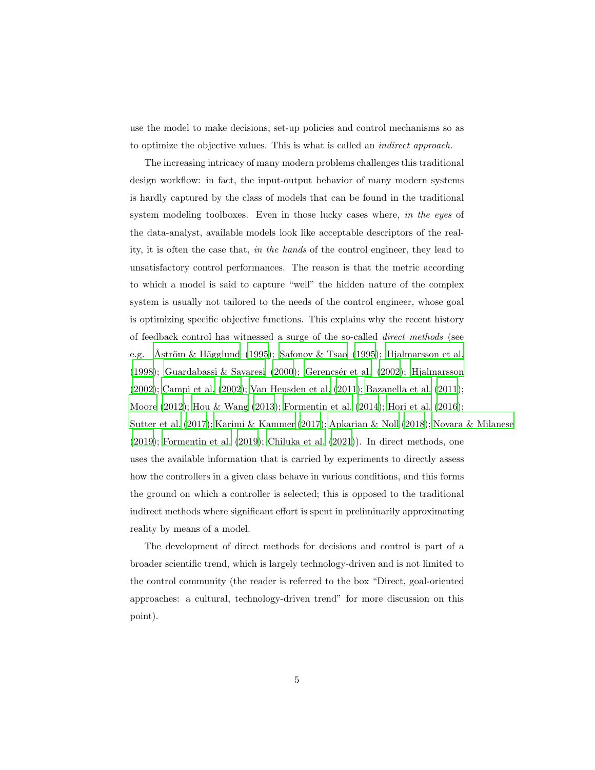use the model to make decisions, set-up policies and control mechanisms so as to optimize the objective values. This is what is called an indirect approach.

The increasing intricacy of many modern problems challenges this traditional design workflow: in fact, the input-output behavior of many modern systems is hardly captured by the class of models that can be found in the traditional system modeling toolboxes. Even in those lucky cases where, in the eyes of the data-analyst, available models look like acceptable descriptors of the reality, it is often the case that, in the hands of the control engineer, they lead to unsatisfactory control performances. The reason is that the metric according to which a model is said to capture "well" the hidden nature of the complex system is usually not tailored to the needs of the control engineer, whose goal is optimizing specific objective functions. This explains why the recent history of feedback control has witnessed a surge of the so-called direct methods (see e.g. Åström & Hägglund (1995); [Safonov & Tsao \(1995\)](#page-58-1); [Hjalmarsson et al.](#page-54-1) [\(1998\)](#page-54-1); [Guardabassi & Savaresi \(2000](#page-54-2)); Gerencsér et al. (2002); [Hjalmarsson](#page-54-3) [\(2002\)](#page-54-3); [Campi et al. \(2002](#page-50-2)); [Van Heusden et al. \(2011](#page-59-0)); [Bazanella](#page-48-1) et al. [\(2011\)](#page-48-1); [Moore \(2012\)](#page-55-2); [Hou & Wang \(2013\)](#page-54-4); [Formentin et al. \(2014\)](#page-52-1); [Hori et al. \(2016\)](#page-54-5); [Sutter et al. \(2017\)](#page-58-2); [Karimi & Kammer \(2017\)](#page-54-6); [Apkarian & Noll \(2018\)](#page-48-2); [Novara & Milanese](#page-56-1) [\(2019\)](#page-56-1); [Formentin et al. \(2019\)](#page-52-2); [Chiluka et al. \(2021](#page-51-1))). In direct methods, one uses the available information that is carried by experiments to directly assess how the controllers in a given class behave in various conditions, and this forms the ground on which a controller is selected; this is opposed to the traditional indirect methods where significant effort is spent in preliminarily approximating reality by means of a model.

The development of direct methods for decisions and control is part of a broader scientific trend, which is largely technology-driven and is not limited to the control community (the reader is referred to the box "Direct, goal-oriented approaches: a cultural, technology-driven trend" for more discussion on this point).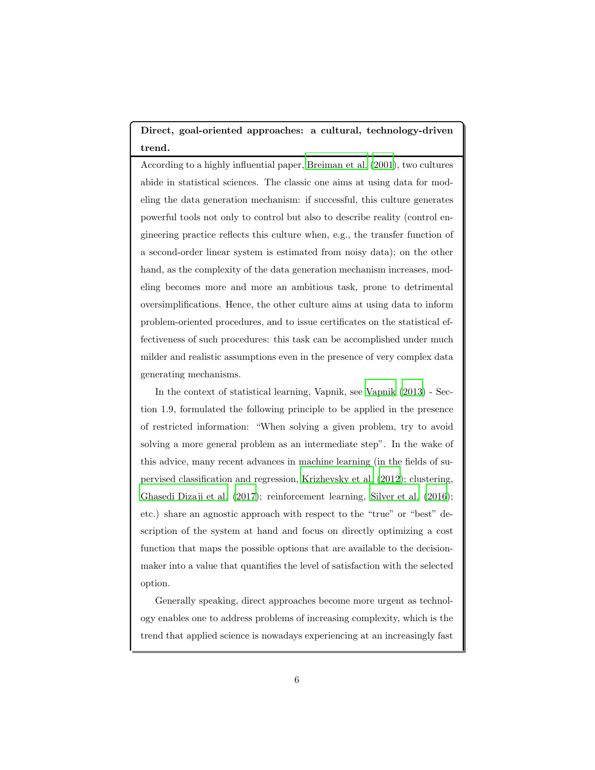# Direct, goal-oriented approaches: a cultural, technology-driven trend.

According to a highly influential paper, [Breiman et al. \(2001\)](#page-49-0), two cultures abide in statistical sciences. The classic one aims at using data for modeling the data generation mechanism: if successful, this culture generates powerful tools not only to control but also to describe reality (control engineering practice reflects this culture when, e.g., the transfer function of a second-order linear system is estimated from noisy data); on the other hand, as the complexity of the data generation mechanism increases, modeling becomes more and more an ambitious task, prone to detrimental oversimplifications. Hence, the other culture aims at using data to inform problem-oriented procedures, and to issue certificates on the statistical effectiveness of such procedures: this task can be accomplished under much milder and realistic assumptions even in the presence of very complex data generating mechanisms.

In the context of statistical learning, Vapnik, see [Vapnik \(2013\)](#page-59-1) - Section 1.9, formulated the following principle to be applied in the presence of restricted information: "When solving a given problem, try to avoid solving a more general problem as an intermediate step". In the wake of this advice, many recent advances in machine learning (in the fields of supervised classification and regression, [Krizhevsky et al. \(2012\)](#page-54-7); clustering, [Ghasedi Dizaji et al. \(2017](#page-53-3)); reinforcement learning, [Silver et al. \(2016\)](#page-58-3); etc.) share an agnostic approach with respect to the "true" or "best" description of the system at hand and focus on directly optimizing a cost function that maps the possible options that are available to the decisionmaker into a value that quantifies the level of satisfaction with the selected option.

Generally speaking, direct approaches become more urgent as technology enables one to address problems of increasing complexity, which is the trend that applied science is nowadays experiencing at an increasingly fast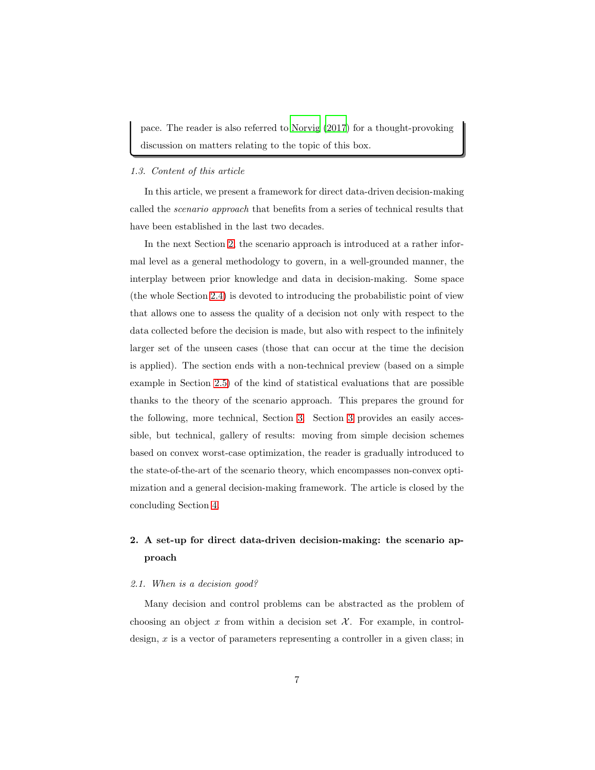pace. The reader is also referred to [Norvig \(2017\)](#page-56-2) for a thought-provoking discussion on matters relating to the topic of this box.

## 1.3. Content of this article

In this article, we present a framework for direct data-driven decision-making called the scenario approach that benefits from a series of technical results that have been established in the last two decades.

In the next Section [2,](#page-6-0) the scenario approach is introduced at a rather informal level as a general methodology to govern, in a well-grounded manner, the interplay between prior knowledge and data in decision-making. Some space (the whole Section [2.4\)](#page-14-0) is devoted to introducing the probabilistic point of view that allows one to assess the quality of a decision not only with respect to the data collected before the decision is made, but also with respect to the infinitely larger set of the unseen cases (those that can occur at the time the decision is applied). The section ends with a non-technical preview (based on a simple example in Section [2.5\)](#page-17-0) of the kind of statistical evaluations that are possible thanks to the theory of the scenario approach. This prepares the ground for the following, more technical, Section [3.](#page-25-0) Section [3](#page-25-0) provides an easily accessible, but technical, gallery of results: moving from simple decision schemes based on convex worst-case optimization, the reader is gradually introduced to the state-of-the-art of the scenario theory, which encompasses non-convex optimization and a general decision-making framework. The article is closed by the concluding Section [4.](#page-44-0)

# <span id="page-6-0"></span>2. A set-up for direct data-driven decision-making: the scenario approach

#### 2.1. When is a decision good?

Many decision and control problems can be abstracted as the problem of choosing an object x from within a decision set  $\mathcal{X}$ . For example, in controldesign,  $x$  is a vector of parameters representing a controller in a given class; in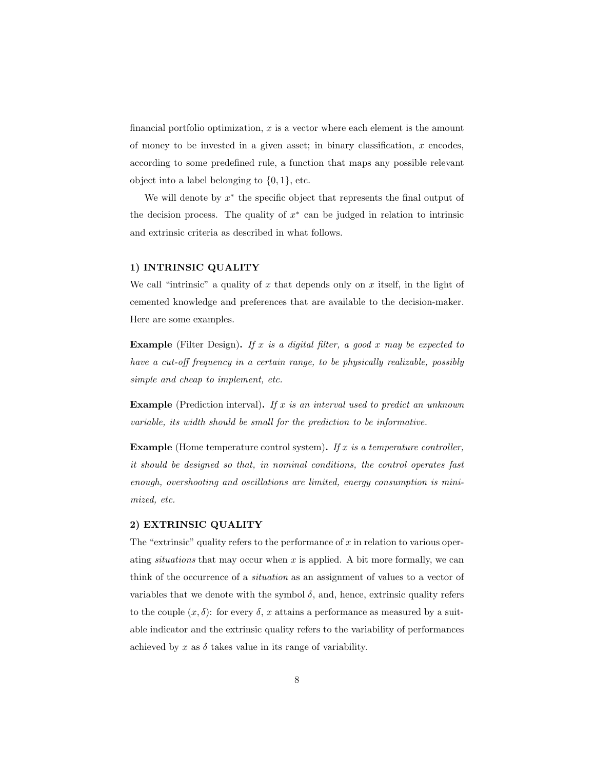financial portfolio optimization,  $x$  is a vector where each element is the amount of money to be invested in a given asset; in binary classification,  $x$  encodes, according to some predefined rule, a function that maps any possible relevant object into a label belonging to  $\{0, 1\}$ , etc.

We will denote by  $x^*$  the specific object that represents the final output of the decision process. The quality of  $x^*$  can be judged in relation to intrinsic and extrinsic criteria as described in what follows.

# 1) INTRINSIC QUALITY

We call "intrinsic" a quality of x that depends only on x itself, in the light of cemented knowledge and preferences that are available to the decision-maker. Here are some examples.

**Example** (Filter Design). If x is a digital filter, a good x may be expected to have a cut-off frequency in a certain range, to be physically realizable, possibly simple and cheap to implement, etc.

**Example** (Prediction interval). If x is an interval used to predict an unknown variable, its width should be small for the prediction to be informative.

**Example** (Home temperature control system). If x is a temperature controller, it should be designed so that, in nominal conditions, the control operates fast enough, overshooting and oscillations are limited, energy consumption is minimized, etc.

# 2) EXTRINSIC QUALITY

The "extrinsic" quality refers to the performance of  $x$  in relation to various operating situations that may occur when  $x$  is applied. A bit more formally, we can think of the occurrence of a situation as an assignment of values to a vector of variables that we denote with the symbol  $\delta$ , and, hence, extrinsic quality refers to the couple  $(x, \delta)$ : for every  $\delta$ , x attains a performance as measured by a suitable indicator and the extrinsic quality refers to the variability of performances achieved by  $x$  as  $\delta$  takes value in its range of variability.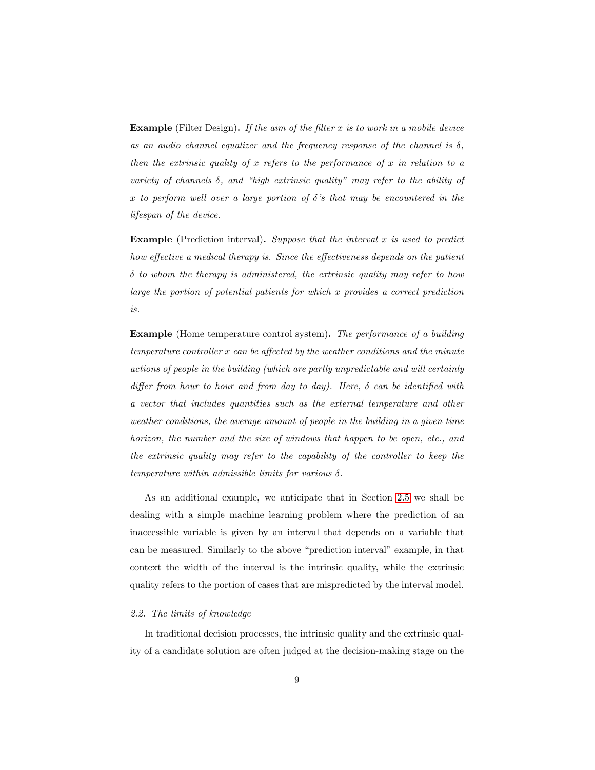**Example** (Filter Design). If the aim of the filter  $x$  is to work in a mobile device as an audio channel equalizer and the frequency response of the channel is  $\delta$ , then the extrinsic quality of x refers to the performance of x in relation to a variety of channels  $\delta$ , and "high extrinsic quality" may refer to the ability of x to perform well over a large portion of  $\delta$ 's that may be encountered in the lifespan of the device.

**Example** (Prediction interval). Suppose that the interval  $x$  is used to predict how effective a medical therapy is. Since the effectiveness depends on the patient  $\delta$  to whom the therapy is administered, the extrinsic quality may refer to how large the portion of potential patients for which x provides a correct prediction is.

Example (Home temperature control system). The performance of a building temperature controller x can be affected by the weather conditions and the minute actions of people in the building (which are partly unpredictable and will certainly differ from hour to hour and from day to day). Here,  $\delta$  can be identified with a vector that includes quantities such as the external temperature and other weather conditions, the average amount of people in the building in a given time horizon, the number and the size of windows that happen to be open, etc., and the extrinsic quality may refer to the capability of the controller to keep the temperature within admissible limits for various  $\delta$ .

As an additional example, we anticipate that in Section [2.5](#page-17-0) we shall be dealing with a simple machine learning problem where the prediction of an inaccessible variable is given by an interval that depends on a variable that can be measured. Similarly to the above "prediction interval" example, in that context the width of the interval is the intrinsic quality, while the extrinsic quality refers to the portion of cases that are mispredicted by the interval model.

#### 2.2. The limits of knowledge

In traditional decision processes, the intrinsic quality and the extrinsic quality of a candidate solution are often judged at the decision-making stage on the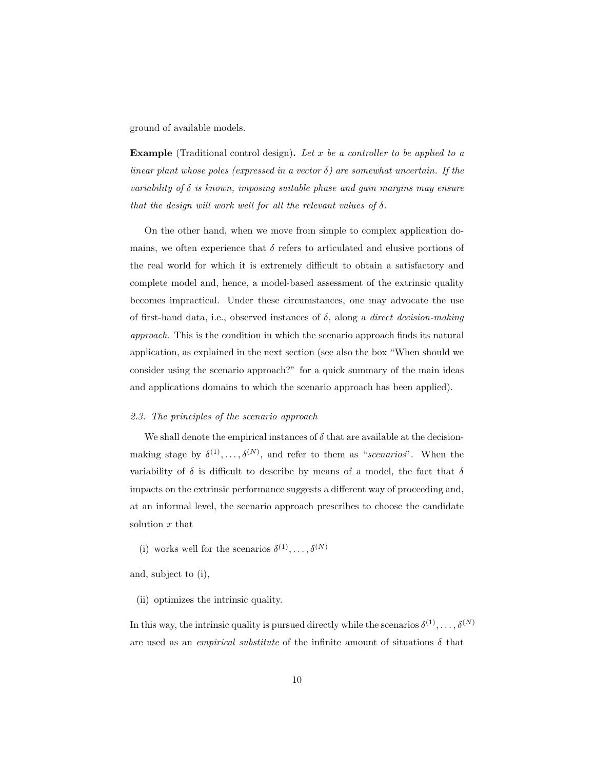ground of available models.

**Example** (Traditional control design). Let x be a controller to be applied to a linear plant whose poles (expressed in a vector  $\delta$ ) are somewhat uncertain. If the variability of  $\delta$  is known, imposing suitable phase and gain margins may ensure that the design will work well for all the relevant values of  $\delta$ .

On the other hand, when we move from simple to complex application domains, we often experience that  $\delta$  refers to articulated and elusive portions of the real world for which it is extremely difficult to obtain a satisfactory and complete model and, hence, a model-based assessment of the extrinsic quality becomes impractical. Under these circumstances, one may advocate the use of first-hand data, i.e., observed instances of  $\delta$ , along a *direct decision-making* approach. This is the condition in which the scenario approach finds its natural application, as explained in the next section (see also the box "When should we consider using the scenario approach?" for a quick summary of the main ideas and applications domains to which the scenario approach has been applied).

## <span id="page-9-0"></span>2.3. The principles of the scenario approach

We shall denote the empirical instances of  $\delta$  that are available at the decisionmaking stage by  $\delta^{(1)}, \ldots, \delta^{(N)}$ , and refer to them as "scenarios". When the variability of  $\delta$  is difficult to describe by means of a model, the fact that  $\delta$ impacts on the extrinsic performance suggests a different way of proceeding and, at an informal level, the scenario approach prescribes to choose the candidate solution  $x$  that

(i) works well for the scenarios  $\delta^{(1)}, \ldots, \delta^{(N)}$ 

and, subject to (i),

(ii) optimizes the intrinsic quality.

In this way, the intrinsic quality is pursued directly while the scenarios  $\delta^{(1)}, \ldots, \delta^{(N)}$ are used as an *empirical substitute* of the infinite amount of situations  $\delta$  that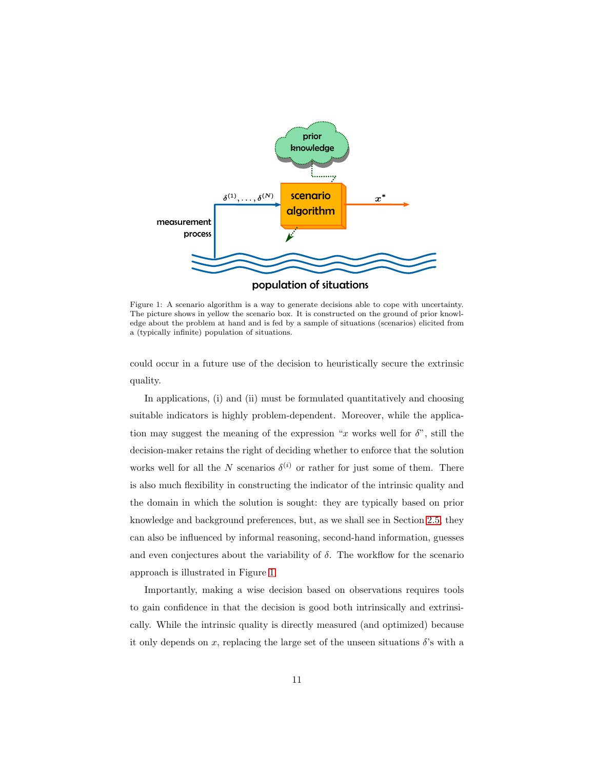<span id="page-10-0"></span>

Figure 1: A scenario algorithm is a way to generate decisions able to cope with uncertainty. The picture shows in yellow the scenario box. It is constructed on the ground of prior knowledge about the problem at hand and is fed by a sample of situations (scenarios) elicited from a (typically infinite) population of situations.

could occur in a future use of the decision to heuristically secure the extrinsic quality.

In applications, (i) and (ii) must be formulated quantitatively and choosing suitable indicators is highly problem-dependent. Moreover, while the application may suggest the meaning of the expression "x works well for  $\delta$ ", still the decision-maker retains the right of deciding whether to enforce that the solution works well for all the N scenarios  $\delta^{(i)}$  or rather for just some of them. There is also much flexibility in constructing the indicator of the intrinsic quality and the domain in which the solution is sought: they are typically based on prior knowledge and background preferences, but, as we shall see in Section [2.5,](#page-17-0) they can also be influenced by informal reasoning, second-hand information, guesses and even conjectures about the variability of  $\delta$ . The workflow for the scenario approach is illustrated in Figure [1.](#page-10-0)

Importantly, making a wise decision based on observations requires tools to gain confidence in that the decision is good both intrinsically and extrinsically. While the intrinsic quality is directly measured (and optimized) because it only depends on x, replacing the large set of the unseen situations  $\delta$ 's with a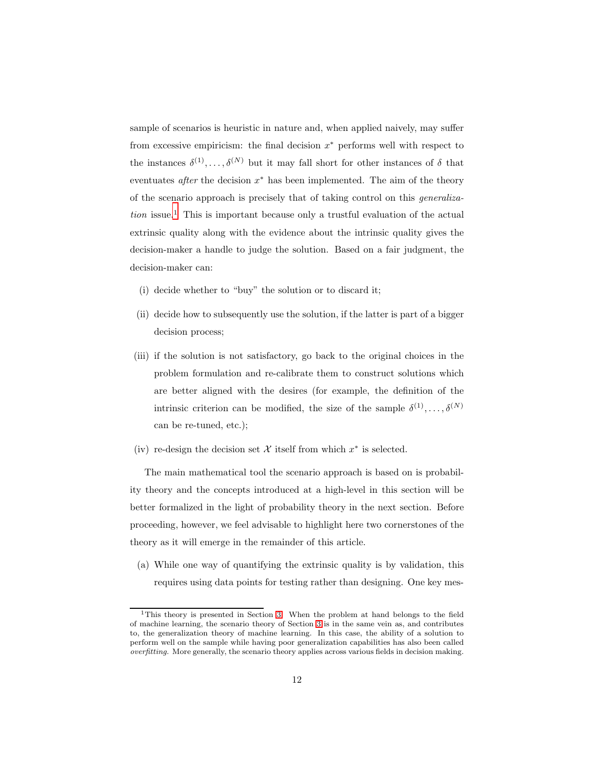sample of scenarios is heuristic in nature and, when applied naively, may suffer from excessive empiricism: the final decision  $x^*$  performs well with respect to the instances  $\delta^{(1)}, \ldots, \delta^{(N)}$  but it may fall short for other instances of  $\delta$  that eventuates *after* the decision  $x^*$  has been implemented. The aim of the theory of the scenario approach is precisely that of taking control on this generaliza $tion$  issue.<sup>1</sup> This is important because only a trustful evaluation of the actual extrinsic quality along with the evidence about the intrinsic quality gives the decision-maker a handle to judge the solution. Based on a fair judgment, the decision-maker can:

- (i) decide whether to "buy" the solution or to discard it;
- (ii) decide how to subsequently use the solution, if the latter is part of a bigger decision process;
- (iii) if the solution is not satisfactory, go back to the original choices in the problem formulation and re-calibrate them to construct solutions which are better aligned with the desires (for example, the definition of the intrinsic criterion can be modified, the size of the sample  $\delta^{(1)}, \ldots, \delta^{(N)}$ can be re-tuned, etc.);
- (iv) re-design the decision set  $X$  itself from which  $x^*$  is selected.

The main mathematical tool the scenario approach is based on is probability theory and the concepts introduced at a high-level in this section will be better formalized in the light of probability theory in the next section. Before proceeding, however, we feel advisable to highlight here two cornerstones of the theory as it will emerge in the remainder of this article.

(a) While one way of quantifying the extrinsic quality is by validation, this requires using data points for testing rather than designing. One key mes-

<sup>&</sup>lt;sup>1</sup>This theory is presented in Section [3.](#page-25-0) When the problem at hand belongs to the field of machine learning, the scenario theory of Section [3](#page-25-0) is in the same vein as, and contributes to, the generalization theory of machine learning. In this case, the ability of a solution to perform well on the sample while having poor generalization capabilities has also been called *overfitting*. More generally, the scenario theory applies across various fields in decision making.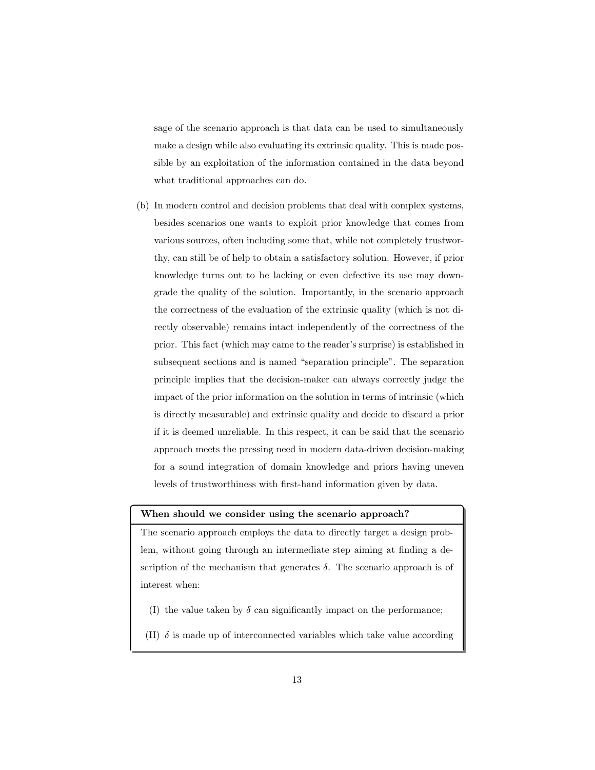sage of the scenario approach is that data can be used to simultaneously make a design while also evaluating its extrinsic quality. This is made possible by an exploitation of the information contained in the data beyond what traditional approaches can do.

(b) In modern control and decision problems that deal with complex systems, besides scenarios one wants to exploit prior knowledge that comes from various sources, often including some that, while not completely trustworthy, can still be of help to obtain a satisfactory solution. However, if prior knowledge turns out to be lacking or even defective its use may downgrade the quality of the solution. Importantly, in the scenario approach the correctness of the evaluation of the extrinsic quality (which is not directly observable) remains intact independently of the correctness of the prior. This fact (which may came to the reader's surprise) is established in subsequent sections and is named "separation principle". The separation principle implies that the decision-maker can always correctly judge the impact of the prior information on the solution in terms of intrinsic (which is directly measurable) and extrinsic quality and decide to discard a prior if it is deemed unreliable. In this respect, it can be said that the scenario approach meets the pressing need in modern data-driven decision-making for a sound integration of domain knowledge and priors having uneven levels of trustworthiness with first-hand information given by data.

## When should we consider using the scenario approach?

The scenario approach employs the data to directly target a design problem, without going through an intermediate step aiming at finding a description of the mechanism that generates  $\delta$ . The scenario approach is of interest when:

- (I) the value taken by  $\delta$  can significantly impact on the performance;
- (II)  $\delta$  is made up of interconnected variables which take value according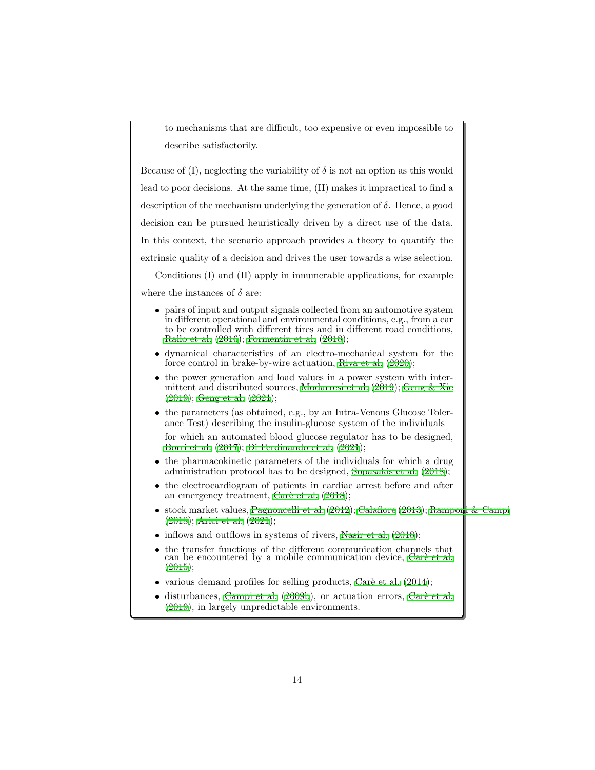to mechanisms that are difficult, too expensive or even impossible to describe satisfactorily.

Because of (I), neglecting the variability of  $\delta$  is not an option as this would lead to poor decisions. At the same time, (II) makes it impractical to find a description of the mechanism underlying the generation of  $\delta$ . Hence, a good decision can be pursued heuristically driven by a direct use of the data. In this context, the scenario approach provides a theory to quantify the extrinsic quality of a decision and drives the user towards a wise selection.

Conditions (I) and (II) apply in innumerable applications, for example where the instances of  $\delta$  are:

- pairs of input and output signals collected from an automotive system in different operational and environmental conditions, e.g., from a car to be controlled with different tires and in different road conditions, [Rallo et al. \(2016](#page-57-1)); [Formentin et al. \(2018](#page-52-3));
- dynamical characteristics of an electro-mechanical system for the force control in brake-by-wire actuation, [Riva et al. \(2020\)](#page-57-2);
- the power generation and load values in a power system with intermittent and distributed sources, [Modarresi et al. \(2019\)](#page-55-3); [Geng &](#page-53-4) Xie [\(2019\)](#page-53-4); [Geng et al. \(2021\)](#page-53-5);
- the parameters (as obtained, e.g., by an Intra-Venous Glucose Tolerance Test) describing the insulin-glucose system of the individuals

for which an automated blood glucose regulator has to be designed, [Borri et al. \(2017\)](#page-48-3); [Di Ferdinando et al. \(2021\)](#page-51-2);

- the pharmacokinetic parameters of the individuals for which a drug administration protocol has to be designed, [Sopasakis et al. \(2018\)](#page-58-4);
- the electrocardiogram of patients in cardiac arrest before and after an emergency treatment, Carè et al.  $(2018)$ ;
- stock market values, Pagnoncelli et al.  $(2012)$ ; Calafiore  $(2013)$ ; [Ramponi & Campi](#page-57-3) [\(2018\)](#page-57-3); [Arici et al. \(2021](#page-48-4));
- $\bullet$  inflows and outflows in systems of rivers, [Nasir et al. \(2018\)](#page-55-4);
- $\bullet$  the transfer functions of the different communication channels that can be encountered by a mobile communication device, Carè et al. [\(2015\)](#page-50-3);
- various demand profiles for selling products, Caré et al.  $(2014)$ ;
- $\bullet$  disturbances, [Campi et al. \(2009b\)](#page-50-5), or actuation errors, Carè [et al.](#page-51-4) [\(2019\)](#page-51-4), in largely unpredictable environments.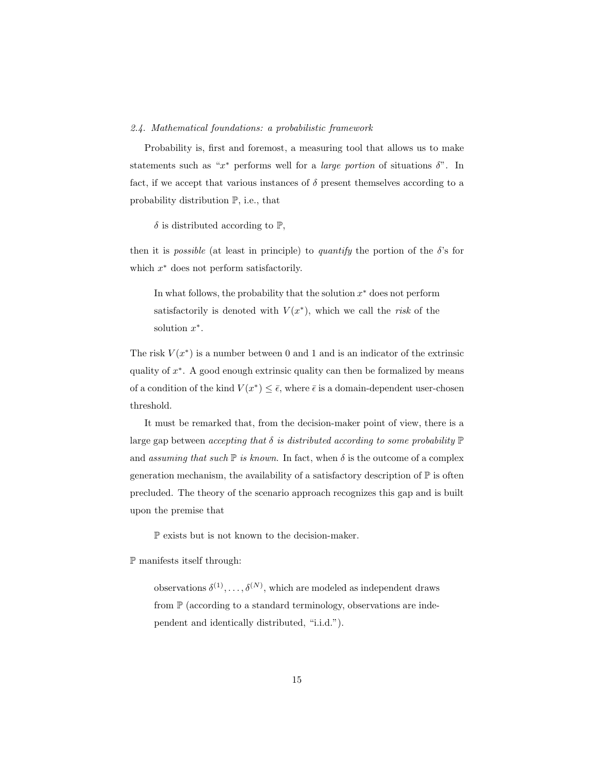#### <span id="page-14-0"></span>2.4. Mathematical foundations: a probabilistic framework

Probability is, first and foremost, a measuring tool that allows us to make statements such as " $x^*$  performs well for a *large portion* of situations  $\delta$ ". In fact, if we accept that various instances of  $\delta$  present themselves according to a probability distribution P, i.e., that

 $\delta$  is distributed according to  $\mathbb{P}$ ,

then it is *possible* (at least in principle) to *quantify* the portion of the  $\delta$ 's for which  $x^*$  does not perform satisfactorily.

In what follows, the probability that the solution  $x^*$  does not perform satisfactorily is denoted with  $V(x^*)$ , which we call the risk of the solution  $x^*$ .

The risk  $V(x^*)$  is a number between 0 and 1 and is an indicator of the extrinsic quality of  $x^*$ . A good enough extrinsic quality can then be formalized by means of a condition of the kind  $V(x^*) \leq \bar{\epsilon}$ , where  $\bar{\epsilon}$  is a domain-dependent user-chosen threshold.

It must be remarked that, from the decision-maker point of view, there is a large gap between accepting that  $\delta$  is distributed according to some probability  $\mathbb P$ and assuming that such  $\mathbb P$  is known. In fact, when  $\delta$  is the outcome of a complex generation mechanism, the availability of a satisfactory description of  $\mathbb P$  is often precluded. The theory of the scenario approach recognizes this gap and is built upon the premise that

P exists but is not known to the decision-maker.

P manifests itself through:

observations  $\delta^{(1)}, \ldots, \delta^{(N)}$ , which are modeled as independent draws from  $\mathbb P$  (according to a standard terminology, observations are independent and identically distributed, "i.i.d.").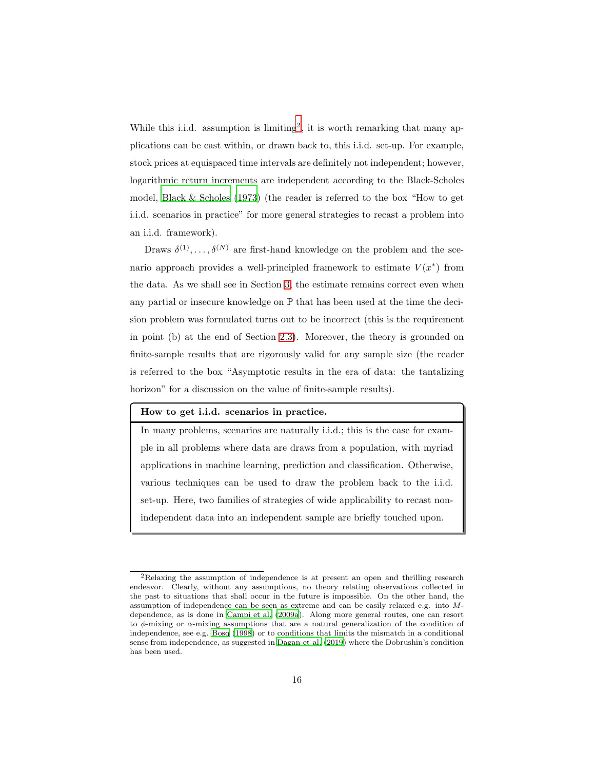While this i.i.d. assumption is limiting<sup>2</sup>, it is worth remarking that many applications can be cast within, or drawn back to, this i.i.d. set-up. For example, stock prices at equispaced time intervals are definitely not independent; however, logarithmic return increments are independent according to the Black-Scholes model, [Black & Scholes \(1973\)](#page-48-5) (the reader is referred to the box "How to get i.i.d. scenarios in practice" for more general strategies to recast a problem into an i.i.d. framework).

Draws  $\delta^{(1)}, \ldots, \delta^{(N)}$  are first-hand knowledge on the problem and the scenario approach provides a well-principled framework to estimate  $V(x^*)$  from the data. As we shall see in Section [3,](#page-25-0) the estimate remains correct even when any partial or insecure knowledge on  $\mathbb P$  that has been used at the time the decision problem was formulated turns out to be incorrect (this is the requirement in point (b) at the end of Section [2.3\)](#page-9-0). Moreover, the theory is grounded on finite-sample results that are rigorously valid for any sample size (the reader is referred to the box "Asymptotic results in the era of data: the tantalizing horizon" for a discussion on the value of finite-sample results).

#### How to get i.i.d. scenarios in practice.

In many problems, scenarios are naturally i.i.d.; this is the case for example in all problems where data are draws from a population, with myriad applications in machine learning, prediction and classification. Otherwise, various techniques can be used to draw the problem back to the i.i.d. set-up. Here, two families of strategies of wide applicability to recast nonindependent data into an independent sample are briefly touched upon.

<sup>2</sup>Relaxing the assumption of independence is at present an open and thrilling research endeavor. Clearly, without any assumptions, no theory relating observations collected in the past to situations that shall occur in the future is impossible. On the other hand, the assumption of independence can be seen as extreme and can be easily relaxed e.g. into Mdependence, as is done in [Campi et al. \(2009a](#page-49-2)). Along more general routes, one can resort to  $\phi$ -mixing or  $\alpha$ -mixing assumptions that are a natural generalization of the condition of independence, see e.g. [Bosq \(1998](#page-49-3)) or to conditions that limits the mismatch in a conditional sense from independence, as suggested in [Dagan et al. \(2019](#page-51-5)) where the Dobrushin's condition has been used.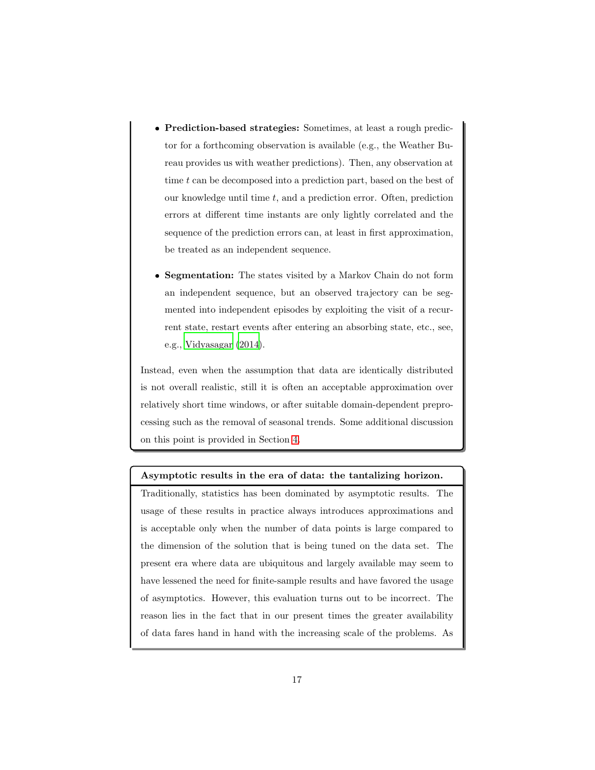- Prediction-based strategies: Sometimes, at least a rough predictor for a forthcoming observation is available (e.g., the Weather Bureau provides us with weather predictions). Then, any observation at time  $t$  can be decomposed into a prediction part, based on the best of our knowledge until time  $t$ , and a prediction error. Often, prediction errors at different time instants are only lightly correlated and the sequence of the prediction errors can, at least in first approximation, be treated as an independent sequence.
- Segmentation: The states visited by a Markov Chain do not form an independent sequence, but an observed trajectory can be segmented into independent episodes by exploiting the visit of a recurrent state, restart events after entering an absorbing state, etc., see, e.g., [Vidyasagar \(2014\)](#page-59-2).

Instead, even when the assumption that data are identically distributed is not overall realistic, still it is often an acceptable approximation over relatively short time windows, or after suitable domain-dependent preprocessing such as the removal of seasonal trends. Some additional discussion on this point is provided in Section [4.](#page-44-0)

# Asymptotic results in the era of data: the tantalizing horizon.

Traditionally, statistics has been dominated by asymptotic results. The usage of these results in practice always introduces approximations and is acceptable only when the number of data points is large compared to the dimension of the solution that is being tuned on the data set. The present era where data are ubiquitous and largely available may seem to have lessened the need for finite-sample results and have favored the usage of asymptotics. However, this evaluation turns out to be incorrect. The reason lies in the fact that in our present times the greater availability of data fares hand in hand with the increasing scale of the problems. As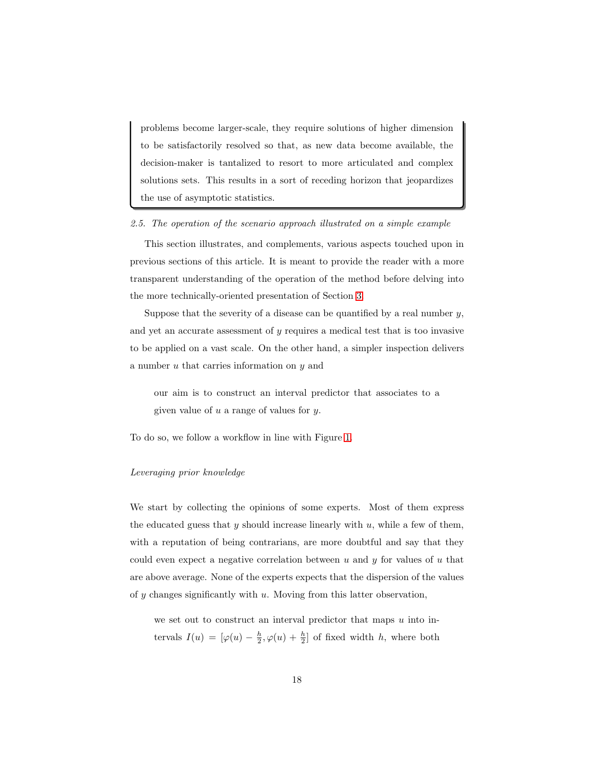problems become larger-scale, they require solutions of higher dimension to be satisfactorily resolved so that, as new data become available, the decision-maker is tantalized to resort to more articulated and complex solutions sets. This results in a sort of receding horizon that jeopardizes the use of asymptotic statistics.

## <span id="page-17-0"></span>2.5. The operation of the scenario approach illustrated on a simple example

This section illustrates, and complements, various aspects touched upon in previous sections of this article. It is meant to provide the reader with a more transparent understanding of the operation of the method before delving into the more technically-oriented presentation of Section [3.](#page-25-0)

Suppose that the severity of a disease can be quantified by a real number  $y$ , and yet an accurate assessment of  $y$  requires a medical test that is too invasive to be applied on a vast scale. On the other hand, a simpler inspection delivers a number  $u$  that carries information on  $y$  and

our aim is to construct an interval predictor that associates to a given value of  $u$  a range of values for  $y$ .

To do so, we follow a workflow in line with Figure [1.](#page-10-0)

#### Leveraging prior knowledge

We start by collecting the opinions of some experts. Most of them express the educated guess that  $y$  should increase linearly with  $u$ , while a few of them, with a reputation of being contrarians, are more doubtful and say that they could even expect a negative correlation between  $u$  and  $y$  for values of  $u$  that are above average. None of the experts expects that the dispersion of the values of  $y$  changes significantly with  $u$ . Moving from this latter observation,

we set out to construct an interval predictor that maps  $u$  into intervals  $I(u) = [\varphi(u) - \frac{h}{2}, \varphi(u) + \frac{h}{2}]$  of fixed width h, where both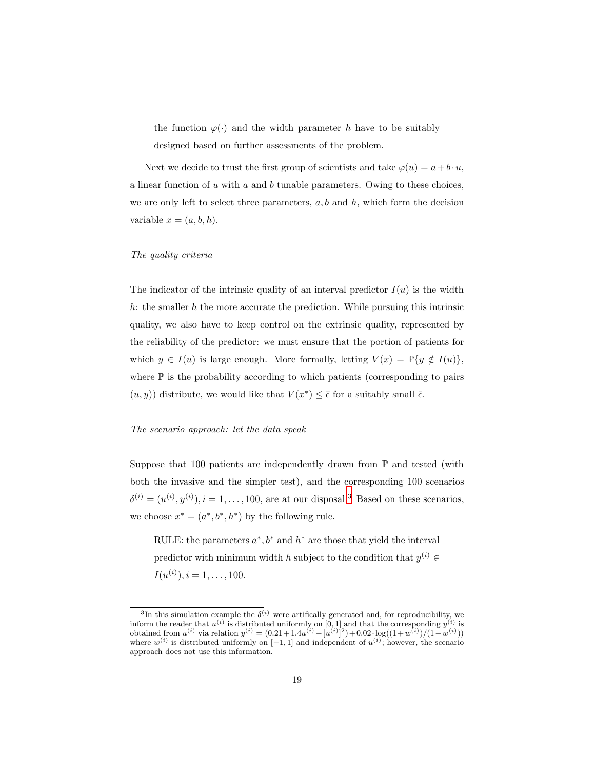the function  $\varphi(\cdot)$  and the width parameter h have to be suitably designed based on further assessments of the problem.

Next we decide to trust the first group of scientists and take  $\varphi(u) = a + b \cdot u$ , a linear function of  $u$  with  $a$  and  $b$  tunable parameters. Owing to these choices, we are only left to select three parameters,  $a, b$  and  $h$ , which form the decision variable  $x = (a, b, h)$ .

#### The quality criteria

The indicator of the intrinsic quality of an interval predictor  $I(u)$  is the width h: the smaller h the more accurate the prediction. While pursuing this intrinsic quality, we also have to keep control on the extrinsic quality, represented by the reliability of the predictor: we must ensure that the portion of patients for which  $y \in I(u)$  is large enough. More formally, letting  $V(x) = \mathbb{P}\{y \notin I(u)\},$ where  $\mathbb P$  is the probability according to which patients (corresponding to pairs  $(u, y)$  distribute, we would like that  $V(x^*) \leq \bar{\epsilon}$  for a suitably small  $\bar{\epsilon}$ .

## The scenario approach: let the data speak

Suppose that 100 patients are independently drawn from  $\mathbb P$  and tested (with both the invasive and the simpler test), and the corresponding 100 scenarios  $\delta^{(i)} = (u^{(i)}, y^{(i)}), i = 1, \ldots, 100$ , are at our disposal.<sup>3</sup> Based on these scenarios, we choose  $x^* = (a^*, b^*, h^*)$  by the following rule.

RULE: the parameters  $a^*$ ,  $b^*$  and  $h^*$  are those that yield the interval predictor with minimum width h subject to the condition that  $y^{(i)} \in$  $I(u^{(i)}), i = 1, \ldots, 100.$ 

<sup>&</sup>lt;sup>3</sup>In this simulation example the  $\delta^{(i)}$  were artifically generated and, for reproducibility, we inform the reader that  $u^{(i)}$  is distributed uniformly on [0, 1] and that the corresponding  $y^{(i)}$  is obtained from  $u^{(i)}$  via relation  $y^{(i)} = (0.21 + 1.4u^{(i)} - [u^{(i)}]^2) + 0.02 \cdot \log((1 + w^{(i)})/(1 - w^{(i)}))$ where  $w^{(i)}$  is distributed uniformly on  $[-1,1]$  and independent of  $u^{(i)}$ ; however, the scenario approach does not use this information.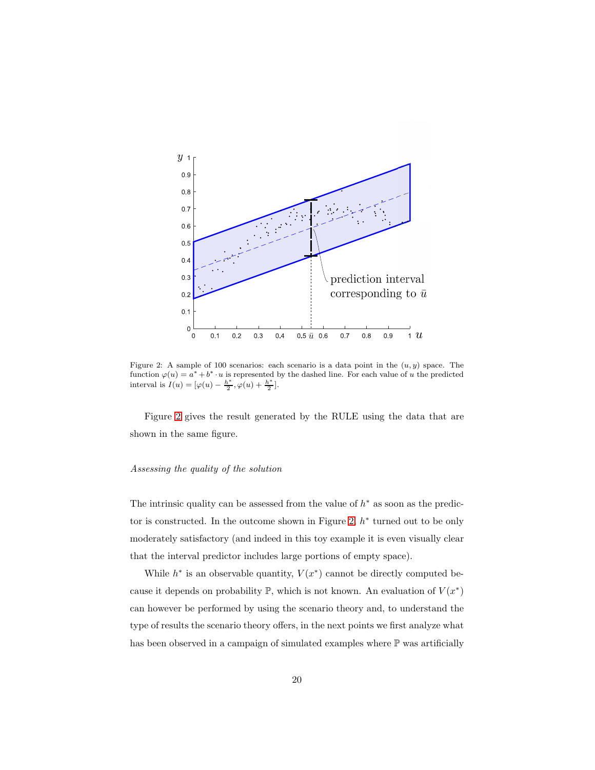<span id="page-19-0"></span>

Figure 2: A sample of 100 scenarios: each scenario is a data point in the  $(u, y)$  space. The function  $\varphi(u) = a^* + b^* \cdot u$  is represented by the dashed line. For each value of u the predicted interval is  $I(u) = [\varphi(u) - \frac{h^*}{2}]$  $\frac{h^*}{2}, \varphi(u) + \frac{h^*}{2}$  $\frac{i}{2}$ .

Figure [2](#page-19-0) gives the result generated by the RULE using the data that are shown in the same figure.

#### Assessing the quality of the solution

The intrinsic quality can be assessed from the value of  $h^*$  as soon as the predic-tor is constructed. In the outcome shown in Figure [2,](#page-19-0)  $h^*$  turned out to be only moderately satisfactory (and indeed in this toy example it is even visually clear that the interval predictor includes large portions of empty space).

While  $h^*$  is an observable quantity,  $V(x^*)$  cannot be directly computed because it depends on probability  $\mathbb{P}$ , which is not known. An evaluation of  $V(x^*)$ can however be performed by using the scenario theory and, to understand the type of results the scenario theory offers, in the next points we first analyze what has been observed in a campaign of simulated examples where  $\mathbb P$  was artificially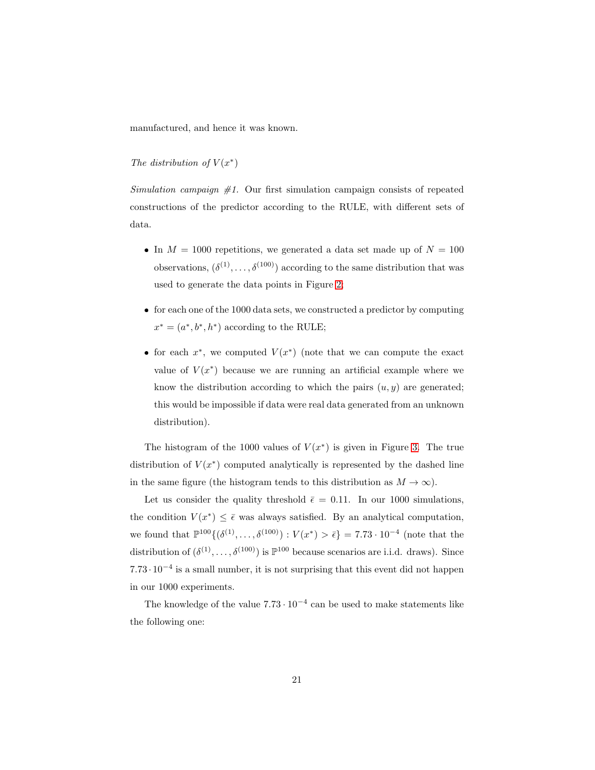manufactured, and hence it was known.

# The distribution of  $V(x^*)$

Simulation campaign  $#1$ . Our first simulation campaign consists of repeated constructions of the predictor according to the RULE, with different sets of data.

- In  $M = 1000$  repetitions, we generated a data set made up of  $N = 100$ observations,  $(\delta^{(1)}, \ldots, \delta^{(100)})$  according to the same distribution that was used to generate the data points in Figure [2;](#page-19-0)
- $\bullet$  for each one of the 1000 data sets, we constructed a predictor by computing  $x^* = (a^*, b^*, h^*)$  according to the RULE;
- for each  $x^*$ , we computed  $V(x^*)$  (note that we can compute the exact value of  $V(x^*)$  because we are running an artificial example where we know the distribution according to which the pairs  $(u, y)$  are generated; this would be impossible if data were real data generated from an unknown distribution).

The histogram of the 1000 values of  $V(x^*)$  is given in Figure [3.](#page-21-0) The true distribution of  $V(x^*)$  computed analytically is represented by the dashed line in the same figure (the histogram tends to this distribution as  $M \to \infty$ ).

Let us consider the quality threshold  $\bar{\epsilon} = 0.11$ . In our 1000 simulations, the condition  $V(x^*) \leq \bar{\epsilon}$  was always satisfied. By an analytical computation, we found that  $\mathbb{P}^{100}\{(\delta^{(1)},\ldots,\delta^{(100)}): V(x^*) > \bar{\epsilon}\} = 7.73 \cdot 10^{-4}$  (note that the distribution of  $(\delta^{(1)}, \ldots, \delta^{(100)})$  is  $\mathbb{P}^{100}$  because scenarios are i.i.d. draws). Since  $7.73 \cdot 10^{-4}$  is a small number, it is not surprising that this event did not happen in our 1000 experiments.

The knowledge of the value  $7.73 \cdot 10^{-4}$  can be used to make statements like the following one: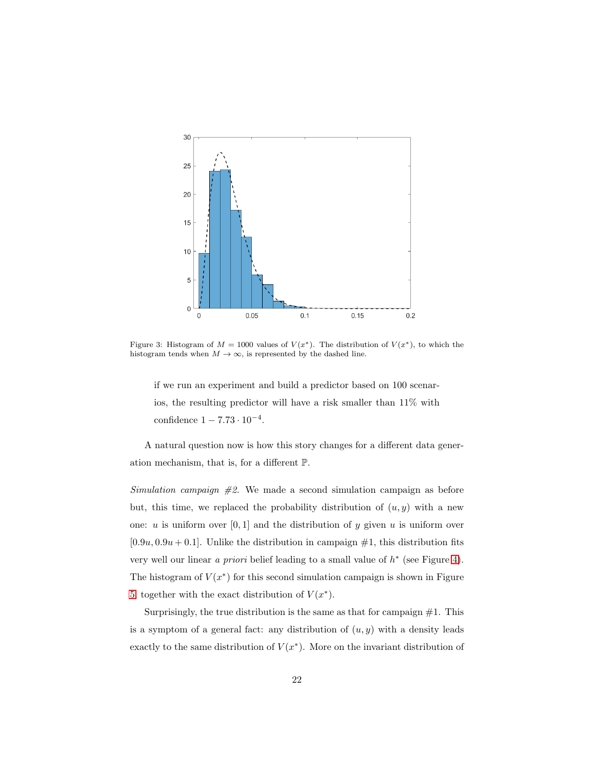<span id="page-21-0"></span>

Figure 3: Histogram of  $M = 1000$  values of  $V(x^*)$ . The distribution of  $V(x^*)$ , to which the histogram tends when  $M \to \infty$ , is represented by the dashed line.

if we run an experiment and build a predictor based on 100 scenarios, the resulting predictor will have a risk smaller than 11% with confidence  $1 - 7.73 \cdot 10^{-4}$ .

A natural question now is how this story changes for a different data generation mechanism, that is, for a different P.

Simulation campaign  $\#2$ . We made a second simulation campaign as before but, this time, we replaced the probability distribution of  $(u, y)$  with a new one: u is uniform over  $[0, 1]$  and the distribution of y given u is uniform over  $[0.9u, 0.9u + 0.1]$ . Unlike the distribution in campaign  $\#1$ , this distribution fits very well our linear a priori belief leading to a small value of  $h^*$  (see Figure [4\)](#page-22-0). The histogram of  $V(x^*)$  for this second simulation campaign is shown in Figure [5,](#page-22-1) together with the exact distribution of  $V(x^*)$ .

Surprisingly, the true distribution is the same as that for campaign  $#1$ . This is a symptom of a general fact: any distribution of  $(u, y)$  with a density leads exactly to the same distribution of  $V(x^*)$ . More on the invariant distribution of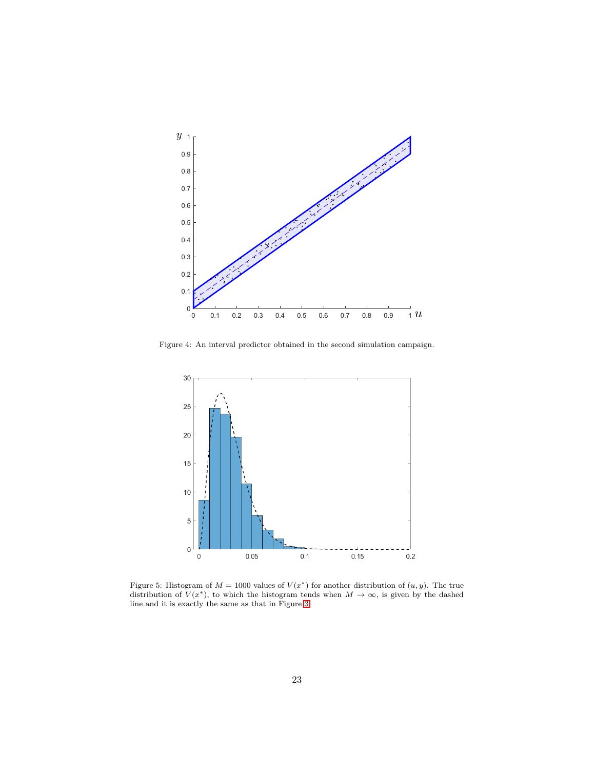<span id="page-22-0"></span>

<span id="page-22-1"></span>Figure 4: An interval predictor obtained in the second simulation campaign.



Figure 5: Histogram of  $M = 1000$  values of  $V(x^*)$  for another distribution of  $(u, y)$ . The true distribution of  $V(x^*)$ , to which the histogram tends when  $M \to \infty$ , is given by the dashed line and it is exactly the same as that in Figure [3.](#page-21-0)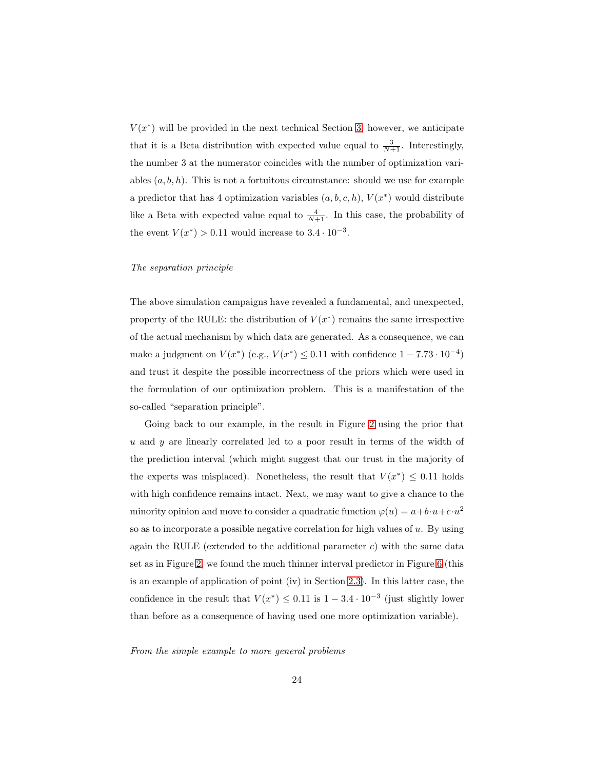$V(x^*)$  will be provided in the next technical Section [3,](#page-25-0) however, we anticipate that it is a Beta distribution with expected value equal to  $\frac{3}{N+1}$ . Interestingly, the number 3 at the numerator coincides with the number of optimization variables  $(a, b, h)$ . This is not a fortuitous circumstance: should we use for example a predictor that has 4 optimization variables  $(a, b, c, h)$ ,  $V(x^*)$  would distribute like a Beta with expected value equal to  $\frac{4}{N+1}$ . In this case, the probability of the event  $V(x^*) > 0.11$  would increase to  $3.4 \cdot 10^{-3}$ .

## The separation principle

The above simulation campaigns have revealed a fundamental, and unexpected, property of the RULE: the distribution of  $V(x^*)$  remains the same irrespective of the actual mechanism by which data are generated. As a consequence, we can make a judgment on  $V(x^*)$  (e.g.,  $V(x^*) \leq 0.11$  with confidence  $1 - 7.73 \cdot 10^{-4}$ ) and trust it despite the possible incorrectness of the priors which were used in the formulation of our optimization problem. This is a manifestation of the so-called "separation principle".

Going back to our example, in the result in Figure [2](#page-19-0) using the prior that u and y are linearly correlated led to a poor result in terms of the width of the prediction interval (which might suggest that our trust in the majority of the experts was misplaced). Nonetheless, the result that  $V(x^*) \leq 0.11$  holds with high confidence remains intact. Next, we may want to give a chance to the minority opinion and move to consider a quadratic function  $\varphi(u) = a + b \cdot u + c \cdot u^2$ so as to incorporate a possible negative correlation for high values of  $u$ . By using again the RULE (extended to the additional parameter  $c$ ) with the same data set as in Figure [2,](#page-19-0) we found the much thinner interval predictor in Figure [6](#page-24-0) (this is an example of application of point (iv) in Section [2.3\)](#page-9-0). In this latter case, the confidence in the result that  $V(x^*) \leq 0.11$  is  $1 - 3.4 \cdot 10^{-3}$  (just slightly lower than before as a consequence of having used one more optimization variable).

From the simple example to more general problems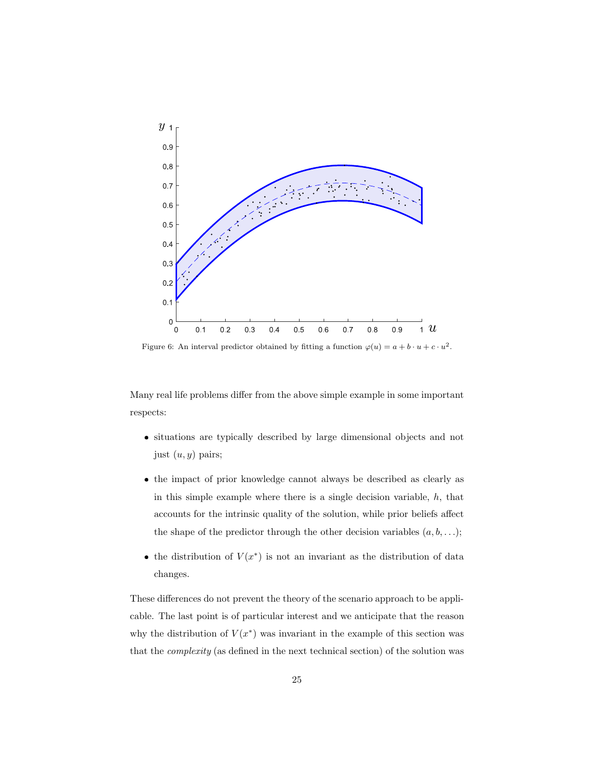<span id="page-24-0"></span>

Figure 6: An interval predictor obtained by fitting a function  $\varphi(u) = a + b \cdot u + c \cdot u^2$ .

Many real life problems differ from the above simple example in some important respects:

- situations are typically described by large dimensional objects and not just  $(u, y)$  pairs;
- the impact of prior knowledge cannot always be described as clearly as in this simple example where there is a single decision variable,  $h$ , that accounts for the intrinsic quality of the solution, while prior beliefs affect the shape of the predictor through the other decision variables  $(a, b, \ldots);$
- the distribution of  $V(x^*)$  is not an invariant as the distribution of data changes.

These differences do not prevent the theory of the scenario approach to be applicable. The last point is of particular interest and we anticipate that the reason why the distribution of  $V(x^*)$  was invariant in the example of this section was that the complexity (as defined in the next technical section) of the solution was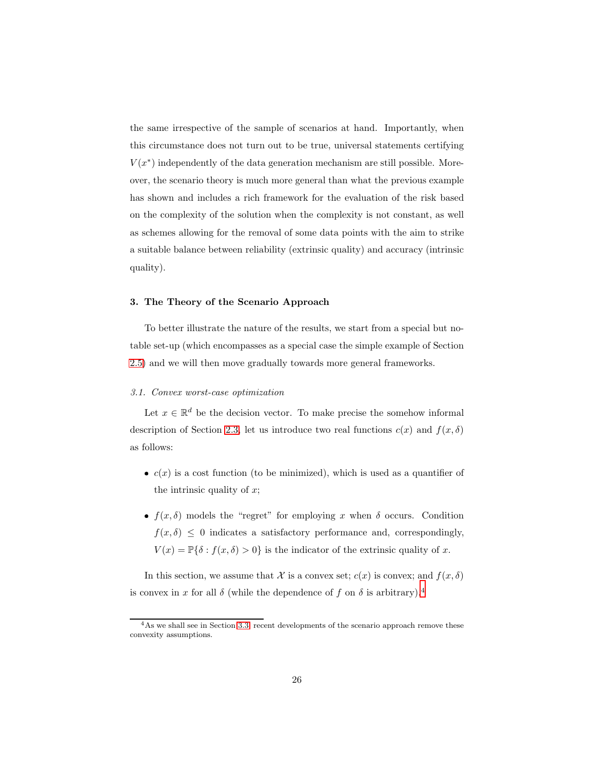the same irrespective of the sample of scenarios at hand. Importantly, when this circumstance does not turn out to be true, universal statements certifying  $V(x^*)$  independently of the data generation mechanism are still possible. Moreover, the scenario theory is much more general than what the previous example has shown and includes a rich framework for the evaluation of the risk based on the complexity of the solution when the complexity is not constant, as well as schemes allowing for the removal of some data points with the aim to strike a suitable balance between reliability (extrinsic quality) and accuracy (intrinsic quality).

#### <span id="page-25-0"></span>3. The Theory of the Scenario Approach

To better illustrate the nature of the results, we start from a special but notable set-up (which encompasses as a special case the simple example of Section [2.5\)](#page-17-0) and we will then move gradually towards more general frameworks.

#### <span id="page-25-1"></span>3.1. Convex worst-case optimization

Let  $x \in \mathbb{R}^d$  be the decision vector. To make precise the somehow informal description of Section [2.3,](#page-9-0) let us introduce two real functions  $c(x)$  and  $f(x, \delta)$ as follows:

- $\bullet$   $c(x)$  is a cost function (to be minimized), which is used as a quantifier of the intrinsic quality of  $x$ ;
- $f(x, \delta)$  models the "regret" for employing x when  $\delta$  occurs. Condition  $f(x, \delta) \leq 0$  indicates a satisfactory performance and, correspondingly,  $V(x) = \mathbb{P}\{\delta : f(x,\delta) > 0\}$  is the indicator of the extrinsic quality of x.

In this section, we assume that X is a convex set;  $c(x)$  is convex; and  $f(x, \delta)$ is convex in x for all  $\delta$  (while the dependence of f on  $\delta$  is arbitrary).<sup>4</sup>

<sup>&</sup>lt;sup>4</sup>As we shall see in Section [3.3,](#page-37-0) recent developments of the scenario approach remove these convexity assumptions.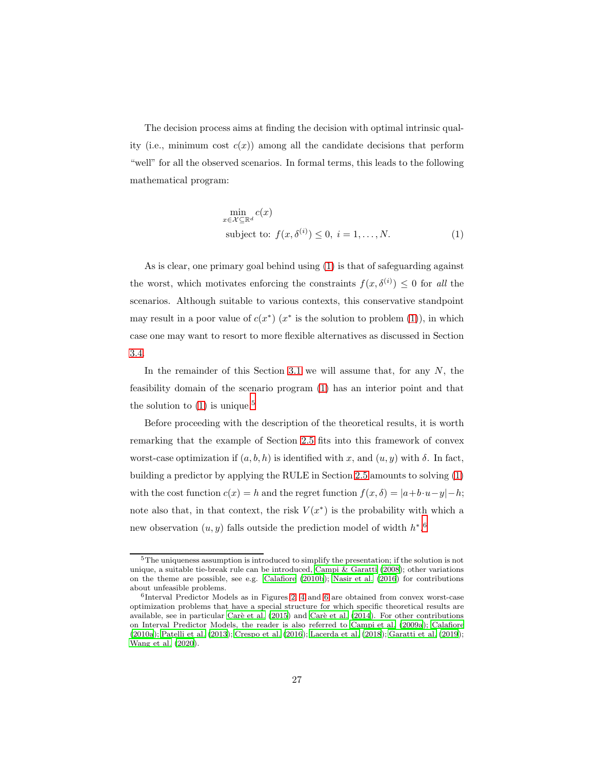The decision process aims at finding the decision with optimal intrinsic quality (i.e., minimum cost  $c(x)$ ) among all the candidate decisions that perform "well" for all the observed scenarios. In formal terms, this leads to the following mathematical program:

<span id="page-26-0"></span>
$$
\min_{x \in \mathcal{X} \subseteq \mathbb{R}^d} c(x)
$$
\nsubject to:  $f(x, \delta^{(i)}) \leq 0, i = 1, ..., N.$  (1)

As is clear, one primary goal behind using [\(1\)](#page-26-0) is that of safeguarding against the worst, which motivates enforcing the constraints  $f(x, \delta^{(i)}) \leq 0$  for all the scenarios. Although suitable to various contexts, this conservative standpoint may result in a poor value of  $c(x^*)$   $(x^*$  is the solution to problem [\(1\)](#page-26-0)), in which case one may want to resort to more flexible alternatives as discussed in Section [3.4.](#page-39-0)

In the remainder of this Section [3.1](#page-25-1) we will assume that, for any  $N$ , the feasibility domain of the scenario program [\(1\)](#page-26-0) has an interior point and that the solution to  $(1)$  is unique.<sup>5</sup>

Before proceeding with the description of the theoretical results, it is worth remarking that the example of Section [2.5](#page-17-0) fits into this framework of convex worst-case optimization if  $(a, b, h)$  is identified with x, and  $(u, y)$  with  $\delta$ . In fact, building a predictor by applying the RULE in Section [2.5](#page-17-0) amounts to solving [\(1\)](#page-26-0) with the cost function  $c(x) = h$  and the regret function  $f(x, \delta) = |a+b \cdot u - y| - h$ ; note also that, in that context, the risk  $V(x^*)$  is the probability with which a new observation  $(u, y)$  falls outside the prediction model of width  $h^*$ .<sup>6</sup>

<sup>5</sup>The uniqueness assumption is introduced to simplify the presentation; if the solution is not unique, a suitable tie-break rule can be introduced, [Campi &](#page-49-4) Garatti [\(2008](#page-49-4)); other variations on the theme are possible, see e.g. [Calafiore \(2010b](#page-49-5)); [Nasir et al. \(2016](#page-56-4)) for contributions about unfeasible problems.

<sup>6</sup> Interval Predictor Models as in Figures [2,](#page-19-0) [4](#page-22-0) and [6](#page-24-0) are obtained from convex worst-case optimization problems that have a special structure for which specific theoretical results are available, see in particular Carè et al. (2015) and Carè et al. [\(2014](#page-50-4)). For other contributions on Interval Predictor Models, the reader is also referred to [Campi et al. \(2009a](#page-49-2)); [Calafiore](#page-49-6) [\(2010a](#page-49-6)); [Patelli et al. \(2013\)](#page-57-4); [Crespo et al. \(2016](#page-51-6)); [Lacerda et al. \(2018](#page-54-8)); [Garatti et al. \(2019\)](#page-52-4); [Wang et al. \(2020](#page-59-3)).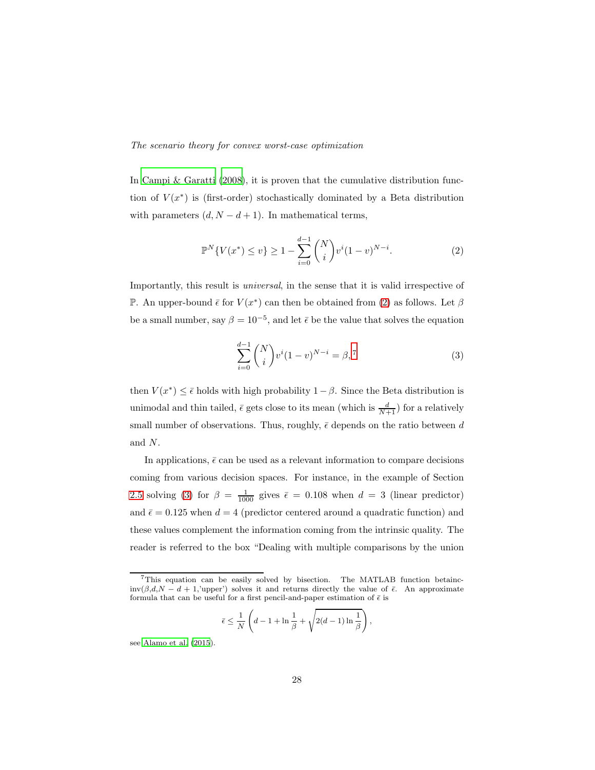#### The scenario theory for convex worst-case optimization

In [Campi & Garatti \(2008\)](#page-49-4), it is proven that the cumulative distribution function of  $V(x^*)$  is (first-order) stochastically dominated by a Beta distribution with parameters  $(d, N - d + 1)$ . In mathematical terms,

<span id="page-27-0"></span>
$$
\mathbb{P}^N\{V(x^*) \le v\} \ge 1 - \sum_{i=0}^{d-1} \binom{N}{i} v^i (1-v)^{N-i}.\tag{2}
$$

Importantly, this result is universal, in the sense that it is valid irrespective of P. An upper-bound  $\bar{\epsilon}$  for  $V(x^*)$  can then be obtained from [\(2\)](#page-27-0) as follows. Let  $\beta$ be a small number, say  $\beta = 10^{-5}$ , and let  $\bar{\epsilon}$  be the value that solves the equation

<span id="page-27-1"></span>
$$
\sum_{i=0}^{d-1} \binom{N}{i} v^i (1-v)^{N-i} = \beta,^7 \tag{3}
$$

,

then  $V(x^*) \leq \bar{\epsilon}$  holds with high probability  $1-\beta$ . Since the Beta distribution is unimodal and thin tailed,  $\bar{\epsilon}$  gets close to its mean (which is  $\frac{d}{N+1}$ ) for a relatively small number of observations. Thus, roughly,  $\bar{\epsilon}$  depends on the ratio between d and N.

In applications,  $\bar{\epsilon}$  can be used as a relevant information to compare decisions coming from various decision spaces. For instance, in the example of Section [2.5](#page-17-0) solving [\(3\)](#page-27-1) for  $\beta = \frac{1}{1000}$  gives  $\bar{\epsilon} = 0.108$  when  $d = 3$  (linear predictor) and  $\bar{\epsilon} = 0.125$  when  $d = 4$  (predictor centered around a quadratic function) and these values complement the information coming from the intrinsic quality. The reader is referred to the box "Dealing with multiple comparisons by the union

$$
\bar{\epsilon} \le \frac{1}{N} \left( d - 1 + \ln \frac{1}{\beta} + \sqrt{2(d-1) \ln \frac{1}{\beta}} \right)
$$

see [Alamo et al. \(2015](#page-48-6)).

<sup>7</sup>This equation can be easily solved by bisection. The MATLAB function betainc $inv(\beta,d,N-d+1, V^{(1)})$  solves it and returns directly the value of  $\bar{\epsilon}$ . An approximate formula that can be useful for a first pencil-and-paper estimation of  $\bar{\epsilon}$  is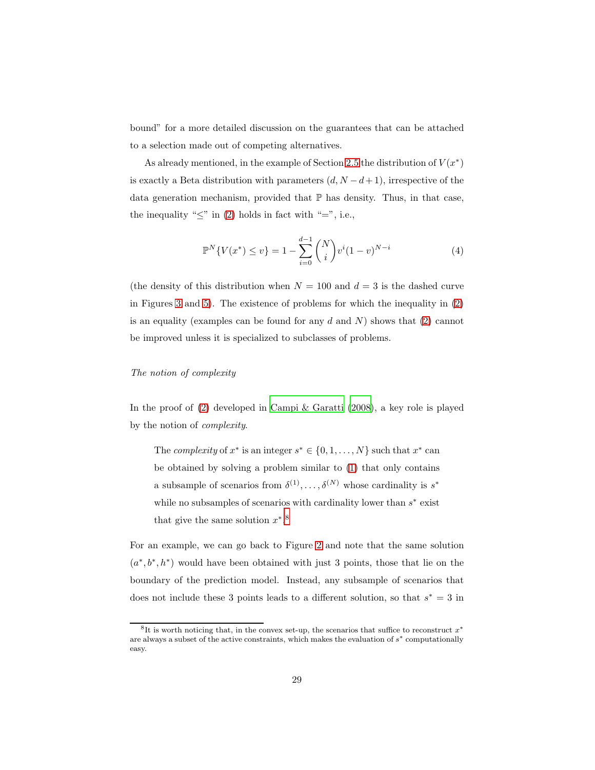bound" for a more detailed discussion on the guarantees that can be attached to a selection made out of competing alternatives.

As already mentioned, in the example of Section [2.5](#page-17-0) the distribution of  $V(x^*)$ is exactly a Beta distribution with parameters  $(d, N - d + 1)$ , irrespective of the data generation mechanism, provided that  $\mathbb P$  has density. Thus, in that case, the inequality " $\leq$ " in [\(2\)](#page-27-0) holds in fact with "=", i.e.,

<span id="page-28-0"></span>
$$
\mathbb{P}^N\{V(x^*) \le v\} = 1 - \sum_{i=0}^{d-1} \binom{N}{i} v^i (1-v)^{N-i} \tag{4}
$$

(the density of this distribution when  $N = 100$  and  $d = 3$  is the dashed curve in Figures [3](#page-21-0) and [5\)](#page-22-1). The existence of problems for which the inequality in [\(2\)](#page-27-0) is an equality (examples can be found for any  $d$  and  $N$ ) shows that  $(2)$  cannot be improved unless it is specialized to subclasses of problems.

## The notion of complexity

In the proof of [\(2\)](#page-27-0) developed in [Campi & Garatti \(2008\)](#page-49-4), a key role is played by the notion of complexity.

The *complexity* of  $x^*$  is an integer  $s^* \in \{0, 1, ..., N\}$  such that  $x^*$  can be obtained by solving a problem similar to [\(1\)](#page-26-0) that only contains a subsample of scenarios from  $\delta^{(1)}, \ldots, \delta^{(N)}$  whose cardinality is  $s^*$ while no subsamples of scenarios with cardinality lower than  $s^*$  exist that give the same solution  $x^*$ <sup>8</sup>.

For an example, we can go back to Figure [2](#page-19-0) and note that the same solution  $(a^*,b^*,h^*)$  would have been obtained with just 3 points, those that lie on the boundary of the prediction model. Instead, any subsample of scenarios that does not include these 3 points leads to a different solution, so that  $s^* = 3$  in

<sup>&</sup>lt;sup>8</sup>It is worth noticing that, in the convex set-up, the scenarios that suffice to reconstruct  $x^*$ are always a subset of the active constraints, which makes the evaluation of  $s^*$  computationally easy.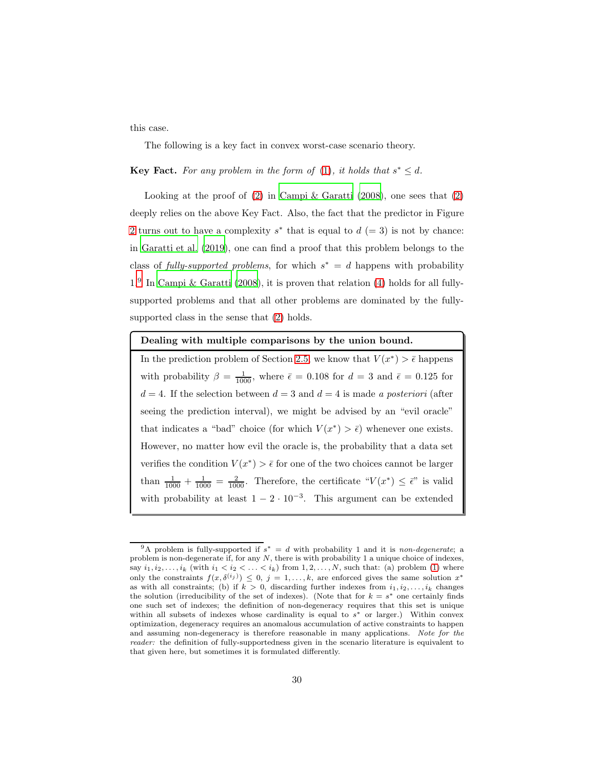this case.

The following is a key fact in convex worst-case scenario theory.

**Key Fact.** For any problem in the form of [\(1\)](#page-26-0), it holds that  $s^* \leq d$ .

Looking at the proof of  $(2)$  in Campi & Garatti  $(2008)$ , one sees that  $(2)$ deeply relies on the above Key Fact. Also, the fact that the predictor in Figure [2](#page-19-0) turns out to have a complexity  $s^*$  that is equal to  $d (= 3)$  is not by chance: in [Garatti et al. \(2019\)](#page-52-4), one can find a proof that this problem belongs to the class of fully-supported problems, for which  $s^* = d$  happens with probability 1.<sup>9</sup> In [Campi & Garatti \(2008\)](#page-49-4), it is proven that relation [\(4\)](#page-28-0) holds for all fullysupported problems and that all other problems are dominated by the fullysupported class in the sense that [\(2\)](#page-27-0) holds.

#### Dealing with multiple comparisons by the union bound.

In the prediction problem of Section [2.5,](#page-17-0) we know that  $V(x^*) > \bar{\epsilon}$  happens with probability  $\beta = \frac{1}{1000}$ , where  $\bar{\epsilon} = 0.108$  for  $d = 3$  and  $\bar{\epsilon} = 0.125$  for  $d = 4$ . If the selection between  $d = 3$  and  $d = 4$  is made a posteriori (after seeing the prediction interval), we might be advised by an "evil oracle" that indicates a "bad" choice (for which  $V(x^*) > \bar{\epsilon}$ ) whenever one exists. However, no matter how evil the oracle is, the probability that a data set verifies the condition  $V(x^*) > \bar{\epsilon}$  for one of the two choices cannot be larger than  $\frac{1}{1000} + \frac{1}{1000} = \frac{2}{1000}$ . Therefore, the certificate " $V(x^*) \leq \bar{\epsilon}$ " is valid with probability at least  $1 - 2 \cdot 10^{-3}$ . This argument can be extended

<sup>&</sup>lt;sup>9</sup>A problem is fully-supported if  $s^* = d$  with probability 1 and it is *non-degenerate*; a problem is non-degenerate if, for any  $N$ , there is with probability 1 a unique choice of indexes, say  $i_1, i_2, \ldots, i_k$  (with  $i_1 < i_2 < \ldots < i_k$ ) from  $1, 2, \ldots, N$ , such that: (a) problem [\(1\)](#page-26-0) where only the constraints  $f(x, \delta^{(i_j)}) \leq 0, j = 1, \ldots, k$ , are enforced gives the same solution  $x^*$ as with all constraints; (b) if  $k > 0$ , discarding further indexes from  $i_1, i_2, \ldots, i_k$  changes the solution (irreducibility of the set of indexes). (Note that for  $k = s^*$  one certainly finds one such set of indexes; the definition of non-degeneracy requires that this set is unique within all subsets of indexes whose cardinality is equal to  $s^*$  or larger.) Within convex optimization, degeneracy requires an anomalous accumulation of active constraints to happen and assuming non-degeneracy is therefore reasonable in many applications. *Note for the reader:* the definition of fully-supportedness given in the scenario literature is equivalent to that given here, but sometimes it is formulated differently.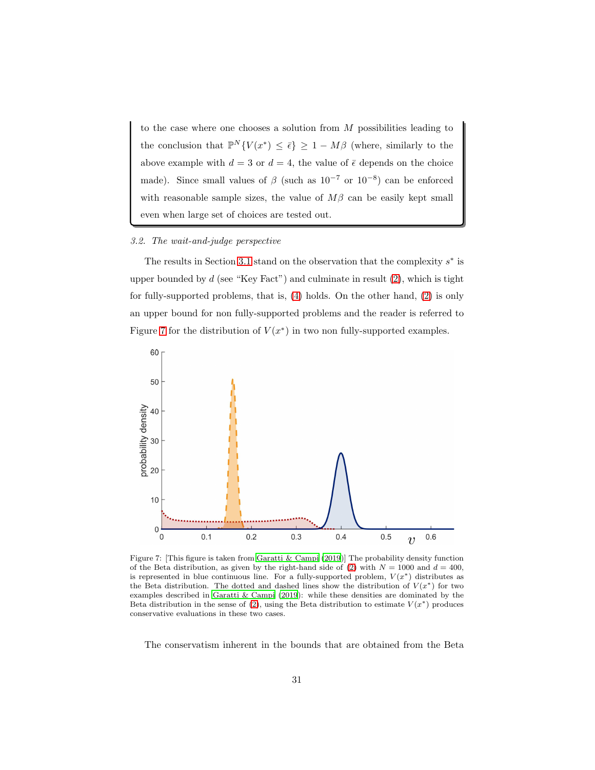to the case where one chooses a solution from  $M$  possibilities leading to the conclusion that  $\mathbb{P}^N \{ V(x^*) \leq \bar{\epsilon} \} \geq 1 - M\beta$  (where, similarly to the above example with  $d = 3$  or  $d = 4$ , the value of  $\bar{\epsilon}$  depends on the choice made). Since small values of  $\beta$  (such as  $10^{-7}$  or  $10^{-8}$ ) can be enforced with reasonable sample sizes, the value of  $M\beta$  can be easily kept small even when large set of choices are tested out.

#### <span id="page-30-1"></span>3.2. The wait-and-judge perspective

The results in Section [3.1](#page-25-1) stand on the observation that the complexity  $s^*$  is upper bounded by  $d$  (see "Key Fact") and culminate in result  $(2)$ , which is tight for fully-supported problems, that is, [\(4\)](#page-28-0) holds. On the other hand, [\(2\)](#page-27-0) is only an upper bound for non fully-supported problems and the reader is referred to Figure [7](#page-30-0) for the distribution of  $V(x^*)$  in two non fully-supported examples.

<span id="page-30-0"></span>

Figure 7: [This figure is taken from [Garatti & Campi \(2019\)](#page-52-5)] The probability density function of the Beta distribution, as given by the right-hand side of [\(2\)](#page-27-0) with  $N = 1000$  and  $d = 400$ , is represented in blue continuous line. For a fully-supported problem,  $V(x^*)$  distributes as the Beta distribution. The dotted and dashed lines show the distribution of  $V(x^*)$  for two examples described in [Garatti & Campi \(2019](#page-52-5)): while these densities are dominated by the Beta distribution in the sense of [\(2\)](#page-27-0), using the Beta distribution to estimate  $V(x^*)$  produces conservative evaluations in these two cases.

The conservatism inherent in the bounds that are obtained from the Beta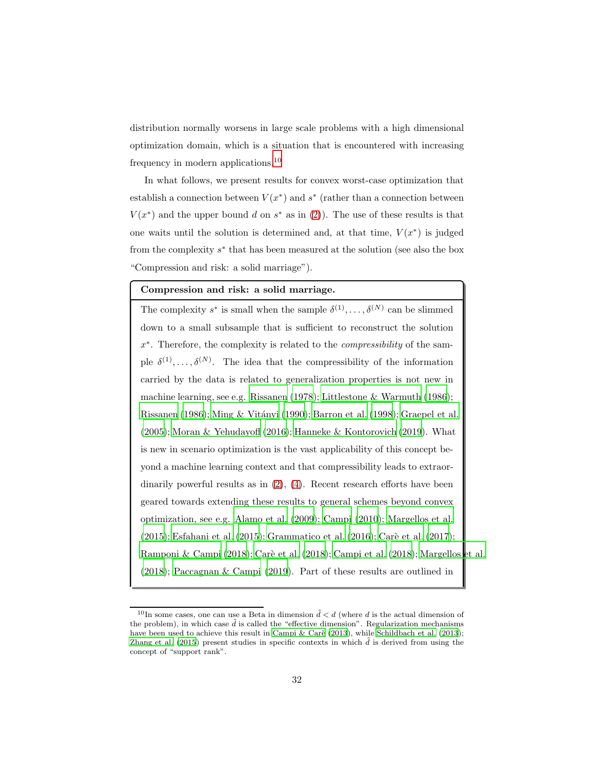distribution normally worsens in large scale problems with a high dimensional optimization domain, which is a situation that is encountered with increasing frequency in modern applications.<sup>10</sup>

In what follows, we present results for convex worst-case optimization that establish a connection between  $V(x^*)$  and  $s^*$  (rather than a connection between  $V(x^*)$  and the upper bound d on  $s^*$  as in [\(2\)](#page-27-0)). The use of these results is that one waits until the solution is determined and, at that time,  $V(x^*)$  is judged from the complexity  $s^*$  that has been measured at the solution (see also the box "Compression and risk: a solid marriage").

## Compression and risk: a solid marriage.

The complexity  $s^*$  is small when the sample  $\delta^{(1)}, \ldots, \delta^{(N)}$  can be slimmed down to a small subsample that is sufficient to reconstruct the solution x<sup>\*</sup>. Therefore, the complexity is related to the *compressibility* of the sample  $\delta^{(1)}, \ldots, \delta^{(N)}$ . The idea that the compressibility of the information carried by the data is related to generalization properties is not new in machine learning, see e.g. [Rissanen \(1978](#page-57-5)); [Littlestone & Warmuth \(1986\)](#page-55-5); [Rissanen \(1986](#page-57-6)); Ming & Vitányi (1990); [Barron et al. \(1998\)](#page-48-7); [Graepel et al.](#page-53-6) [\(2005\)](#page-53-6); [Moran & Yehudayoff \(2016](#page-55-7)); [Hanneke & Kontorovich \(2019\)](#page-54-9). What is new in scenario optimization is the vast applicability of this concept beyond a machine learning context and that compressibility leads to extraordinarily powerful results as in [\(2\)](#page-27-0), [\(4\)](#page-28-0). Recent research efforts have been geared towards extending these results to general schemes beyond convex optimization, see e.g. [Alamo et al. \(2009\)](#page-47-0); [Campi \(2010](#page-49-7)); [Margellos et al.](#page-55-8) [\(2015\)](#page-55-8); [Esfahani et al. \(2015\)](#page-52-6); [Grammatico et al. \(2016](#page-53-7)); Carè [et al. \(2017\)](#page-50-6); [Ramponi & Campi \(2018\)](#page-57-3); Carè et al. (2018); [Campi et al. \(2018\)](#page-50-7); [Margellos et al.](#page-55-9) [\(2018\)](#page-55-9); [Paccagnan & Campi \(2019](#page-56-5)). Part of these results are outlined in

<sup>&</sup>lt;sup>10</sup>In some cases, one can use a Beta in dimension  $\tilde{d} < d$  (where d is the actual dimension of the problem), in which case  $\tilde{d}$  is called the "effective dimension". Regularization mechanisms have been used to achieve this result in Campi & Carè (2013), while [Schildbach et al. \(2013\)](#page-58-5); [Zhang et al. \(2015\)](#page-59-4) present studies in specific contexts in which  $\tilde{d}$  is derived from using the concept of "support rank".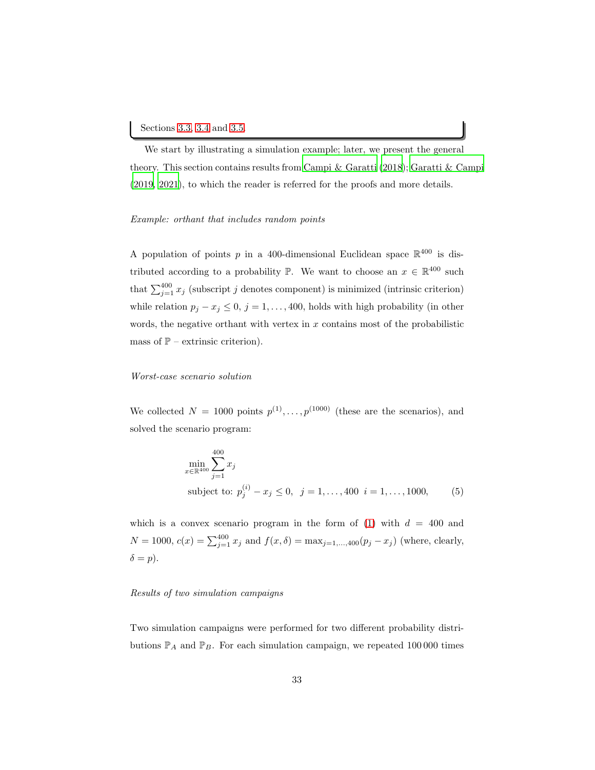We start by illustrating a simulation example; later, we present the general theory. This section contains results from [Campi & Garatti \(2018\)](#page-50-8); [Garatti & Campi](#page-52-5) [\(2019,](#page-52-5) [2021\)](#page-52-7), to which the reader is referred for the proofs and more details.

#### Example: orthant that includes random points

A population of points p in a 400-dimensional Euclidean space  $\mathbb{R}^{400}$  is distributed according to a probability  $\mathbb{P}$ . We want to choose an  $x \in \mathbb{R}^{400}$  such that  $\sum_{j=1}^{400} x_j$  (subscript j denotes component) is minimized (intrinsic criterion) while relation  $p_j - x_j \leq 0$ ,  $j = 1, ..., 400$ , holds with high probability (in other words, the negative orthant with vertex in  $x$  contains most of the probabilistic mass of  $\mathbb{P}$  – extrinsic criterion).

#### Worst-case scenario solution

We collected  $N = 1000$  points  $p^{(1)}, \ldots, p^{(1000)}$  (these are the scenarios), and solved the scenario program:

$$
\min_{x \in \mathbb{R}^{400}} \sum_{j=1}^{400} x_j
$$
\nsubject to:  $p_j^{(i)} - x_j \le 0, \ \ j = 1, ..., 400 \ \ i = 1, ..., 1000,$  (5)

which is a convex scenario program in the form of  $(1)$  with  $d = 400$  and  $N = 1000, c(x) = \sum_{j=1}^{400} x_j$  and  $f(x, \delta) = \max_{j=1,\dots,400} (p_j - x_j)$  (where, clearly,  $\delta = p$ ).

#### Results of two simulation campaigns

Two simulation campaigns were performed for two different probability distributions  $\mathbb{P}_A$  and  $\mathbb{P}_B$ . For each simulation campaign, we repeated 100 000 times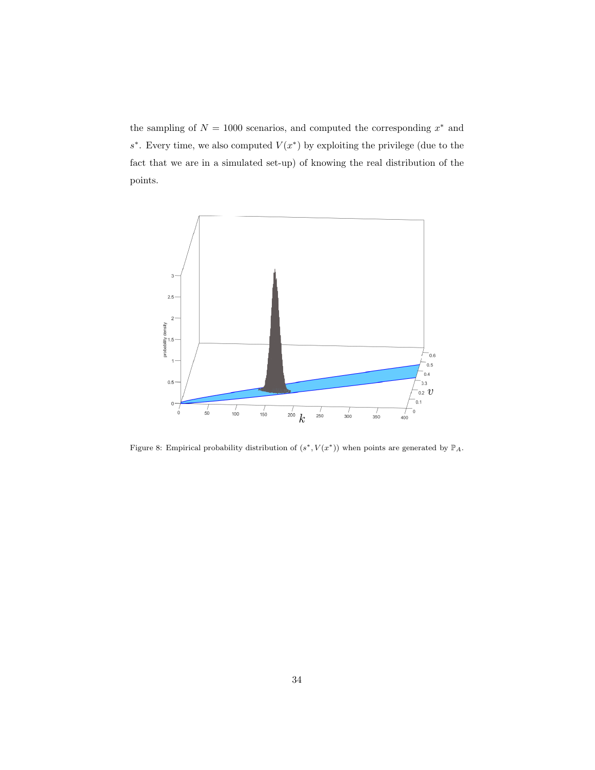the sampling of  $N = 1000$  scenarios, and computed the corresponding  $x^*$  and s<sup>\*</sup>. Every time, we also computed  $V(x^*)$  by exploiting the privilege (due to the fact that we are in a simulated set-up) of knowing the real distribution of the points.

<span id="page-33-0"></span>

Figure 8: Empirical probability distribution of  $(s^*, V(x^*))$  when points are generated by  $\mathbb{P}_A$ .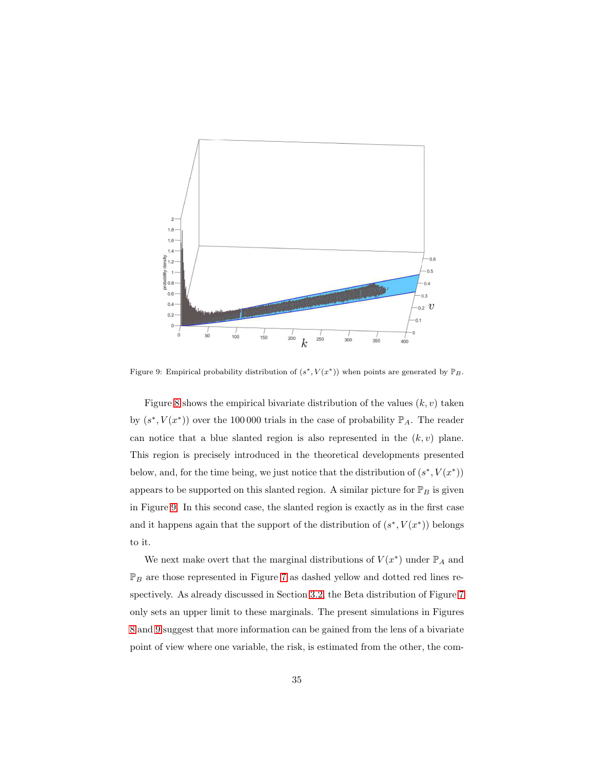<span id="page-34-0"></span>

Figure 9: Empirical probability distribution of  $(s^*, V(x^*))$  when points are generated by  $\mathbb{P}_B$ .

Figure [8](#page-33-0) shows the empirical bivariate distribution of the values  $(k, v)$  taken by  $(s^*, V(x^*))$  over the 100 000 trials in the case of probability  $\mathbb{P}_A$ . The reader can notice that a blue slanted region is also represented in the  $(k, v)$  plane. This region is precisely introduced in the theoretical developments presented below, and, for the time being, we just notice that the distribution of  $(s^*, V(x^*))$ appears to be supported on this slanted region. A similar picture for  $\mathbb{P}_B$  is given in Figure [9.](#page-34-0) In this second case, the slanted region is exactly as in the first case and it happens again that the support of the distribution of  $(s^*, V(x^*))$  belongs to it.

We next make overt that the marginal distributions of  $V(x^*)$  under  $\mathbb{P}_A$  and  $\mathbb{P}_B$  are those represented in Figure [7](#page-30-0) as dashed yellow and dotted red lines respectively. As already discussed in Section [3.2,](#page-30-1) the Beta distribution of Figure [7](#page-30-0) only sets an upper limit to these marginals. The present simulations in Figures [8](#page-33-0) and [9](#page-34-0) suggest that more information can be gained from the lens of a bivariate point of view where one variable, the risk, is estimated from the other, the com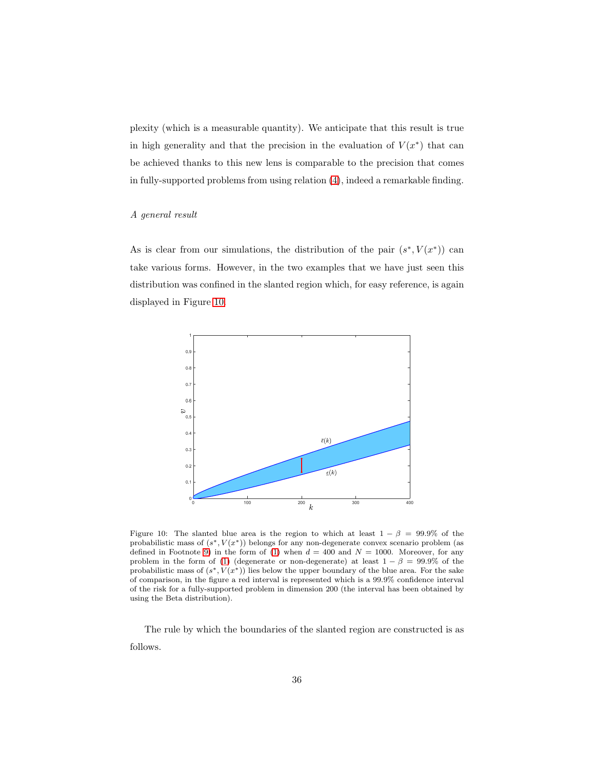plexity (which is a measurable quantity). We anticipate that this result is true in high generality and that the precision in the evaluation of  $V(x^*)$  that can be achieved thanks to this new lens is comparable to the precision that comes in fully-supported problems from using relation [\(4\)](#page-28-0), indeed a remarkable finding.

#### A general result

As is clear from our simulations, the distribution of the pair  $(s^*, V(x^*))$  can take various forms. However, in the two examples that we have just seen this distribution was confined in the slanted region which, for easy reference, is again displayed in Figure [10.](#page-35-0)

<span id="page-35-0"></span>

Figure 10: The slanted blue area is the region to which at least  $1 - \beta = 99.9\%$  of the probabilistic mass of  $(s^*, V(x^*))$  belongs for any non-degenerate convex scenario problem (as defined in Footnote [9\)](#page-28-0) in the form of [\(1\)](#page-26-0) when  $d = 400$  and  $N = 1000$ . Moreover, for any problem in the form of [\(1\)](#page-26-0) (degenerate or non-degenerate) at least  $1 - \beta = 99.9\%$  of the probabilistic mass of  $(s^*, V(x^*))$  lies below the upper boundary of the blue area. For the sake of comparison, in the figure a red interval is represented which is a 99.9% confidence interval of the risk for a fully-supported problem in dimension 200 (the interval has been obtained by using the Beta distribution).

The rule by which the boundaries of the slanted region are constructed is as follows.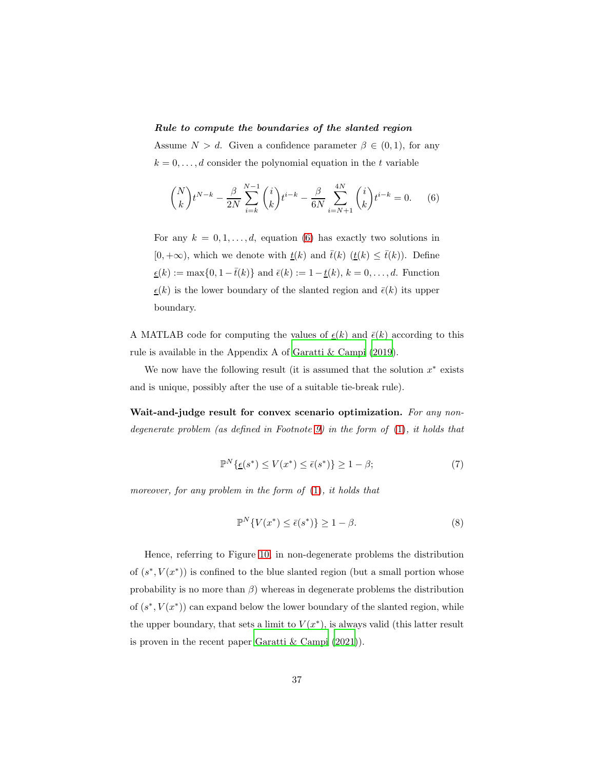## Rule to compute the boundaries of the slanted region

Assume  $N > d$ . Given a confidence parameter  $\beta \in (0,1)$ , for any  $k = 0, \ldots, d$  consider the polynomial equation in the t variable

<span id="page-36-0"></span>
$$
\binom{N}{k} t^{N-k} - \frac{\beta}{2N} \sum_{i=k}^{N-1} \binom{i}{k} t^{i-k} - \frac{\beta}{6N} \sum_{i=N+1}^{4N} \binom{i}{k} t^{i-k} = 0. \tag{6}
$$

For any  $k = 0, 1, \ldots, d$ , equation [\(6\)](#page-36-0) has exactly two solutions in  $[0, +\infty)$ , which we denote with  $\underline{t}(k)$  and  $\overline{t}(k)$   $(\underline{t}(k) \leq \overline{t}(k))$ . Define  $\underline{\epsilon}(k) := \max\{0, 1-\bar{t}(k)\}$  and  $\bar{\epsilon}(k) := 1-\underline{t}(k),$ <br> $k=0,\ldots,d.$  Function  $\underline{\epsilon}(k)$  is the lower boundary of the slanted region and  $\overline{\epsilon}(k)$  its upper boundary.

A MATLAB code for computing the values of  $\epsilon(k)$  and  $\bar{\epsilon}(k)$  according to this rule is available in the Appendix A of [Garatti & Campi \(2019\)](#page-52-5).

We now have the following result (it is assumed that the solution  $x^*$  exists and is unique, possibly after the use of a suitable tie-break rule).

<span id="page-36-1"></span>Wait-and-judge result for convex scenario optimization. For any nondegenerate problem (as defined in Footnote [9\)](#page-28-0) in the form of [\(1\)](#page-26-0), it holds that

$$
\mathbb{P}^N\{\underline{\epsilon}(s^*) \le V(x^*) \le \bar{\epsilon}(s^*)\} \ge 1 - \beta; \tag{7}
$$

moreover, for any problem in the form of  $(1)$ , it holds that

<span id="page-36-2"></span>
$$
\mathbb{P}^N\{V(x^*) \le \bar{\epsilon}(s^*)\} \ge 1 - \beta. \tag{8}
$$

Hence, referring to Figure [10,](#page-35-0) in non-degenerate problems the distribution of  $(s^*, V(x^*))$  is confined to the blue slanted region (but a small portion whose probability is no more than  $\beta$ ) whereas in degenerate problems the distribution of  $(s^*, V(x^*))$  can expand below the lower boundary of the slanted region, while the upper boundary, that sets a limit to  $V(x^*)$ , is always valid (this latter result is proven in the recent paper [Garatti & Campi \(2021](#page-52-7))).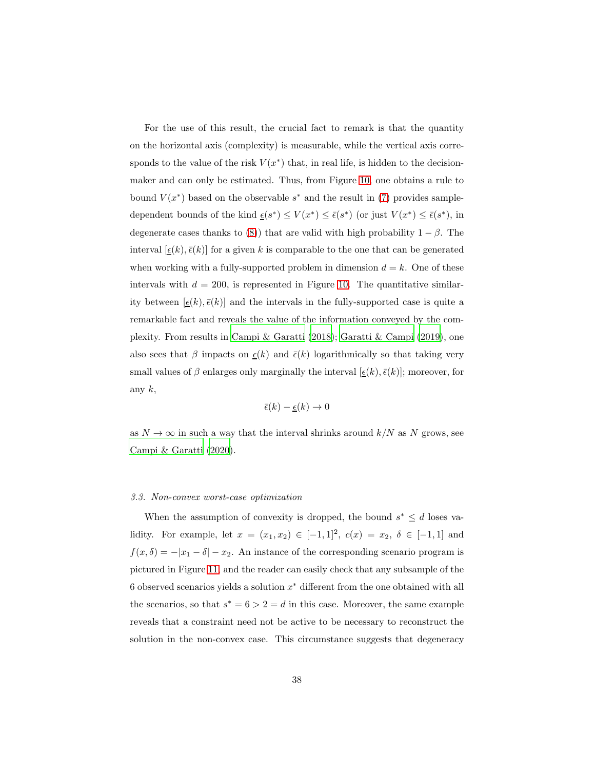For the use of this result, the crucial fact to remark is that the quantity on the horizontal axis (complexity) is measurable, while the vertical axis corresponds to the value of the risk  $V(x^*)$  that, in real life, is hidden to the decisionmaker and can only be estimated. Thus, from Figure [10,](#page-35-0) one obtains a rule to bound  $V(x^*)$  based on the observable  $s^*$  and the result in [\(7\)](#page-36-1) provides sampledependent bounds of the kind  $\underline{\epsilon}(s^*) \leq V(x^*) \leq \overline{\epsilon}(s^*)$  (or just  $V(x^*) \leq \overline{\epsilon}(s^*)$ , in degenerate cases thanks to [\(8\)](#page-36-2)) that are valid with high probability  $1 - \beta$ . The interval  $[\underline{\epsilon}(k), \overline{\epsilon}(k)]$  for a given k is comparable to the one that can be generated when working with a fully-supported problem in dimension  $d = k$ . One of these intervals with  $d = 200$ , is represented in Figure [10.](#page-35-0) The quantitative similarity between  $[\underline{\epsilon}(k), \overline{\epsilon}(k)]$  and the intervals in the fully-supported case is quite a remarkable fact and reveals the value of the information conveyed by the complexity. From results in [Campi & Garatti \(2018\)](#page-50-8); [Garatti & Campi \(2019\)](#page-52-5), one also sees that  $\beta$  impacts on  $\epsilon(k)$  and  $\bar{\epsilon}(k)$  logarithmically so that taking very small values of β enlarges only marginally the interval  $[\epsilon(k), \bar{\epsilon}(k)]$ ; moreover, for any  $k$ ,

$$
\bar{\epsilon}(k) - \underline{\epsilon}(k) \to 0
$$

as  $N \to \infty$  in such a way that the interval shrinks around  $k/N$  as N grows, see [Campi & Garatti \(2020](#page-50-9)).

#### <span id="page-37-0"></span>3.3. Non-convex worst-case optimization

When the assumption of convexity is dropped, the bound  $s^* \leq d$  loses validity. For example, let  $x = (x_1, x_2) \in [-1, 1]^2$ ,  $c(x) = x_2, \delta \in [-1, 1]$  and  $f(x, \delta) = -|x_1 - \delta| - x_2$ . An instance of the corresponding scenario program is pictured in Figure [11,](#page-38-0) and the reader can easily check that any subsample of the 6 observed scenarios yields a solution  $x^*$  different from the one obtained with all the scenarios, so that  $s^* = 6 > 2 = d$  in this case. Moreover, the same example reveals that a constraint need not be active to be necessary to reconstruct the solution in the non-convex case. This circumstance suggests that degeneracy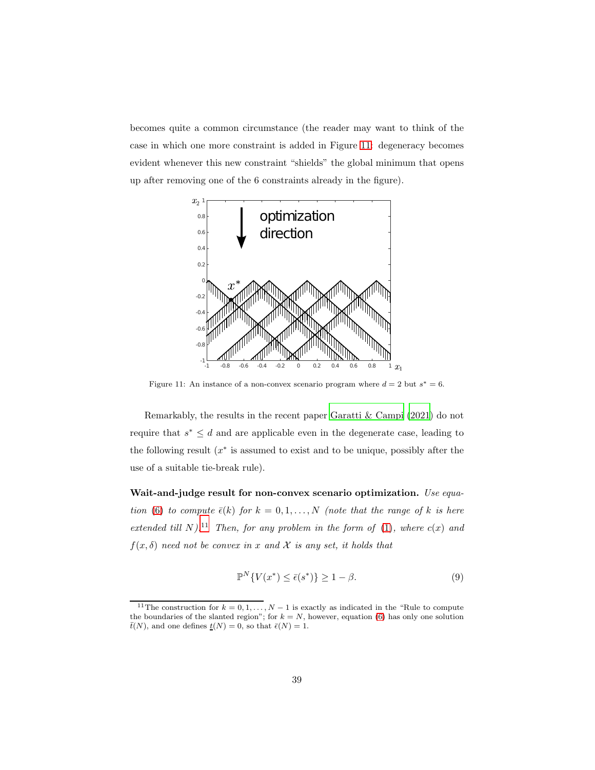becomes quite a common circumstance (the reader may want to think of the case in which one more constraint is added in Figure [11:](#page-38-0) degeneracy becomes evident whenever this new constraint "shields" the global minimum that opens up after removing one of the 6 constraints already in the figure).

<span id="page-38-0"></span>

Figure 11: An instance of a non-convex scenario program where  $d = 2$  but  $s^* = 6$ .

Remarkably, the results in the recent paper [Garatti & Campi \(2021\)](#page-52-7) do not require that  $s^* \leq d$  and are applicable even in the degenerate case, leading to the following result  $(x^*$  is assumed to exist and to be unique, possibly after the use of a suitable tie-break rule).

Wait-and-judge result for non-convex scenario optimization. Use equa-tion [\(6\)](#page-36-0) to compute  $\bar{\epsilon}(k)$  for  $k = 0, 1, ..., N$  (note that the range of k is here extended till N).<sup>11</sup> Then, for any problem in the form of [\(1\)](#page-26-0), where  $c(x)$  and  $f(x, \delta)$  need not be convex in x and X is any set, it holds that

<span id="page-38-1"></span>
$$
\mathbb{P}^N\{V(x^*) \le \bar{\epsilon}(s^*)\} \ge 1 - \beta. \tag{9}
$$

<sup>&</sup>lt;sup>11</sup>The construction for  $k = 0, 1, ..., N - 1$  is exactly as indicated in the "Rule to compute the boundaries of the slanted region"; for  $k = N$ , however, equation [\(6\)](#page-36-0) has only one solution  $\bar{t}(N)$ , and one defines  $\underline{t}(N) = 0$ , so that  $\bar{\epsilon}(N) = 1$ .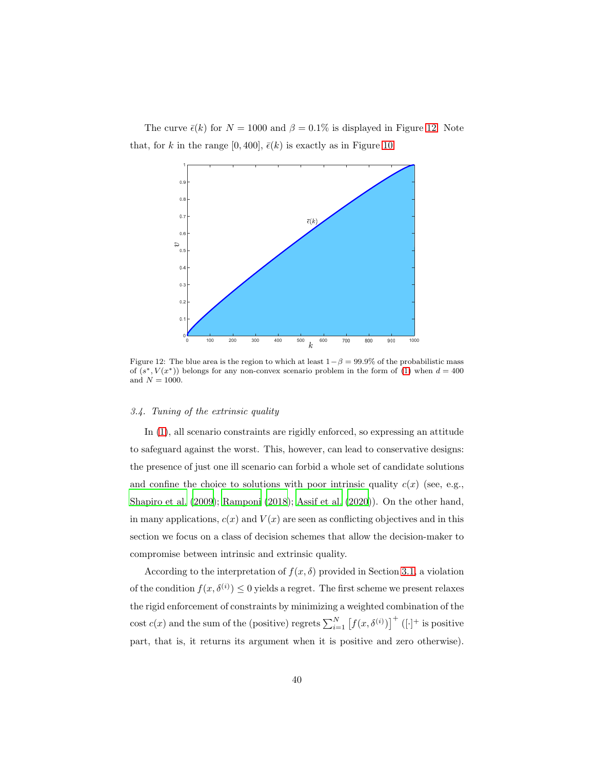<span id="page-39-1"></span>The curve  $\bar{\epsilon}(k)$  for  $N = 1000$  and  $\beta = 0.1\%$  is displayed in Figure [12.](#page-39-1) Note that, for k in the range [0, 400],  $\bar{\epsilon}(k)$  is exactly as in Figure [10.](#page-35-0)



Figure 12: The blue area is the region to which at least  $1-\beta = 99.9\%$  of the probabilistic mass of  $(s^*, V(x^*))$  belongs for any non-convex scenario problem in the form of [\(1\)](#page-26-0) when  $d = 400$ and  $N = 1000$ .

## <span id="page-39-0"></span>3.4. Tuning of the extrinsic quality

In [\(1\)](#page-26-0), all scenario constraints are rigidly enforced, so expressing an attitude to safeguard against the worst. This, however, can lead to conservative designs: the presence of just one ill scenario can forbid a whole set of candidate solutions and confine the choice to solutions with poor intrinsic quality  $c(x)$  (see, e.g., [Shapiro et al. \(2009\)](#page-58-6); [Ramponi \(2018\)](#page-57-7); [Assif et al. \(2020](#page-48-8))). On the other hand, in many applications,  $c(x)$  and  $V(x)$  are seen as conflicting objectives and in this section we focus on a class of decision schemes that allow the decision-maker to compromise between intrinsic and extrinsic quality.

According to the interpretation of  $f(x, \delta)$  provided in Section [3.1,](#page-25-1) a violation of the condition  $f(x, \delta^{(i)}) \leq 0$  yields a regret. The first scheme we present relaxes the rigid enforcement of constraints by minimizing a weighted combination of the cost  $c(x)$  and the sum of the (positive) regrets  $\sum_{i=1}^{N} [f(x, \delta^{(i)})]^{+}$  ([·]<sup>+</sup> is positive part, that is, it returns its argument when it is positive and zero otherwise).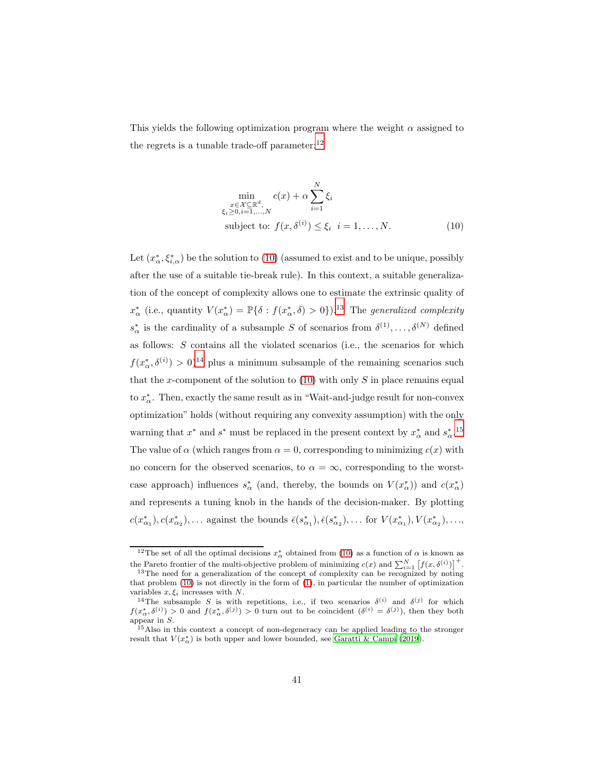This yields the following optimization program where the weight  $\alpha$  assigned to the regrets is a tunable trade-off parameter: $^{12}$ 

<span id="page-40-0"></span>
$$
\min_{\substack{x \in \mathcal{X} \subseteq \mathbb{R}^d, \\ \xi_i \ge 0, i=1,\dots,N}} c(x) + \alpha \sum_{i=1}^N \xi_i
$$
\nsubject to:  $f(x, \delta^{(i)}) \le \xi_i$   $i = 1, \dots, N.$  (10)

Let  $(x^*_{\alpha}, \xi^*_{i,\alpha})$  be the solution to [\(10\)](#page-40-0) (assumed to exist and to be unique, possibly after the use of a suitable tie-break rule). In this context, a suitable generalization of the concept of complexity allows one to estimate the extrinsic quality of  $x^*_{\alpha}$  (i.e., quantity  $V(x^*_{\alpha}) = \mathbb{P}\{\delta : f(x^*_{\alpha}, \delta) > 0\}$ ).<sup>13</sup> The *generalized complexity*  $s^*_{\alpha}$  is the cardinality of a subsample S of scenarios from  $\delta^{(1)}, \ldots, \delta^{(N)}$  defined as follows:  $S$  contains all the violated scenarios (i.e., the scenarios for which  $f(x_{\alpha}^*, \delta^{(i)}) > 0$ <sup>14</sup> plus a minimum subsample of the remaining scenarios such that the x-component of the solution to  $(10)$  with only S in place remains equal to  $x^*_{\alpha}$ . Then, exactly the same result as in "Wait-and-judge result for non-convex optimization" holds (without requiring any convexity assumption) with the only warning that  $x^*$  and  $s^*$  must be replaced in the present context by  $x^*_{\alpha}$  and  $s^*_{\alpha}$ .<sup>15</sup> The value of  $\alpha$  (which ranges from  $\alpha = 0$ , corresponding to minimizing  $c(x)$  with no concern for the observed scenarios, to  $\alpha = \infty$ , corresponding to the worstcase approach) influences  $s^*_{\alpha}$  (and, thereby, the bounds on  $V(x^*_{\alpha})$ ) and  $c(x^*_{\alpha})$ and represents a tuning knob in the hands of the decision-maker. By plotting  $c(x_{\alpha_1}^*), c(x_{\alpha_2}^*), \ldots$  against the bounds  $\bar{\epsilon}(s_{\alpha_1}^*), \bar{\epsilon}(s_{\alpha_2}^*), \ldots$  for  $V(x_{\alpha_1}^*), V(x_{\alpha_2}^*), \ldots$ 

<sup>&</sup>lt;sup>12</sup>The set of all the optimal decisions  $x^*_{\alpha}$  obtained from [\(10\)](#page-40-0) as a function of  $\alpha$  is known as the Pareto frontier of the multi-objective problem of minimizing  $c(x)$  and  $\sum_{i=1}^{N} [f(x, \delta^{(i)})]^{+}$ .

<sup>&</sup>lt;sup>13</sup>The need for a generalization of the concept of complexity can be recognized by noting that problem [\(10\)](#page-40-0) is not directly in the form of [\(1\)](#page-26-0), in particular the number of optimization variables  $x, \xi_i$  increases with N.

<sup>&</sup>lt;sup>14</sup>The subsample S is with repetitions, i.e., if two scenarios  $\delta^{(i)}$  and  $\delta^{(j)}$  for which  $f(x_\alpha^*, \delta^{(i)}) > 0$  and  $f(x_\alpha^*, \delta^{(j)}) > 0$  turn out to be coincident  $(\delta^{(i)} = \delta^{(j)})$ , then they both appear in  $S$ .

<sup>15</sup>Also in this context a concept of non-degeneracy can be applied leading to the stronger result that  $V(x_{\alpha}^*)$  is both upper and lower bounded, see [Garatti & Campi \(2019](#page-52-5)).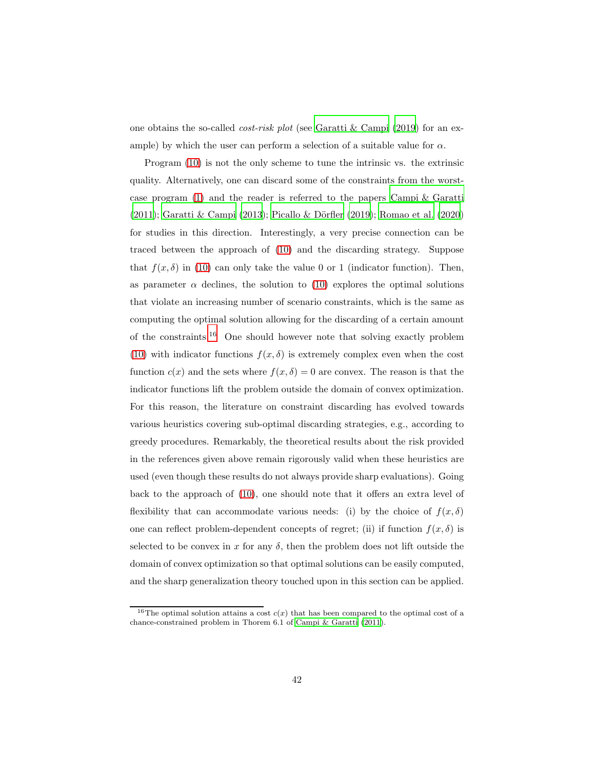one obtains the so-called cost-risk plot (see [Garatti & Campi \(2019\)](#page-52-5) for an example) by which the user can perform a selection of a suitable value for  $\alpha$ .

Program [\(10\)](#page-40-0) is not the only scheme to tune the intrinsic vs. the extrinsic quality. Alternatively, one can discard some of the constraints from the worstcase program [\(1\)](#page-26-0) and the reader is referred to the papers Campi [& Garatti](#page-49-9)  $(2011)$ ; Garatti & Campi  $(2013)$ ; Picallo & Dörfler  $(2019)$ ; [Romao](#page-57-9) et al.  $(2020)$ for studies in this direction. Interestingly, a very precise connection can be traced between the approach of [\(10\)](#page-40-0) and the discarding strategy. Suppose that  $f(x, \delta)$  in [\(10\)](#page-40-0) can only take the value 0 or 1 (indicator function). Then, as parameter  $\alpha$  declines, the solution to [\(10\)](#page-40-0) explores the optimal solutions that violate an increasing number of scenario constraints, which is the same as computing the optimal solution allowing for the discarding of a certain amount of the constraints.<sup>16</sup> One should however note that solving exactly problem [\(10\)](#page-40-0) with indicator functions  $f(x, \delta)$  is extremely complex even when the cost function  $c(x)$  and the sets where  $f(x, \delta) = 0$  are convex. The reason is that the indicator functions lift the problem outside the domain of convex optimization. For this reason, the literature on constraint discarding has evolved towards various heuristics covering sub-optimal discarding strategies, e.g., according to greedy procedures. Remarkably, the theoretical results about the risk provided in the references given above remain rigorously valid when these heuristics are used (even though these results do not always provide sharp evaluations). Going back to the approach of [\(10\)](#page-40-0), one should note that it offers an extra level of flexibility that can accommodate various needs: (i) by the choice of  $f(x, \delta)$ one can reflect problem-dependent concepts of regret; (ii) if function  $f(x, \delta)$  is selected to be convex in x for any  $\delta$ , then the problem does not lift outside the domain of convex optimization so that optimal solutions can be easily computed, and the sharp generalization theory touched upon in this section can be applied.

<sup>&</sup>lt;sup>16</sup>The optimal solution attains a cost  $c(x)$  that has been compared to the optimal cost of a chance-constrained problem in Thorem 6.1 of [Campi & Garatti](#page-49-9) [\(2011\)](#page-49-9).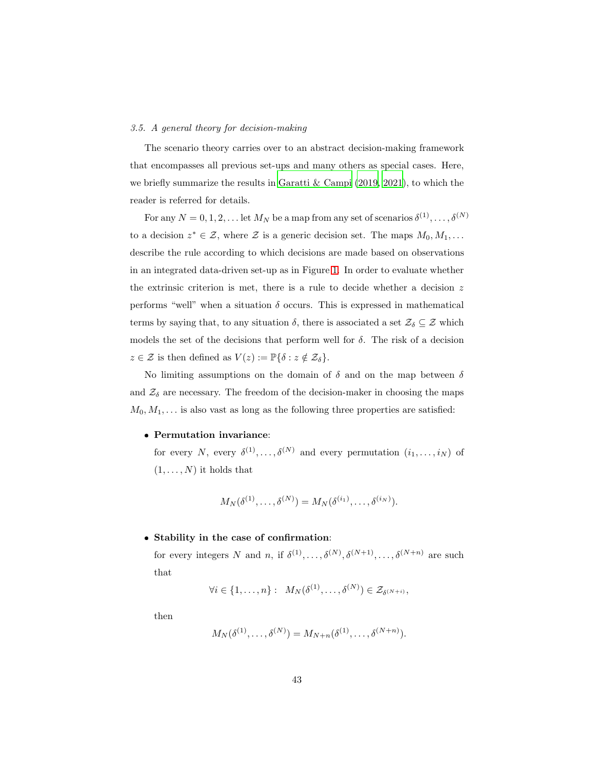#### <span id="page-42-0"></span>3.5. A general theory for decision-making

The scenario theory carries over to an abstract decision-making framework that encompasses all previous set-ups and many others as special cases. Here, we briefly summarize the results in [Garatti & Campi \(2019,](#page-52-5) [2021\)](#page-52-7), to which the reader is referred for details.

For any  $N = 0, 1, 2, \ldots$  let  $M_N$  be a map from any set of scenarios  $\delta^{(1)}, \ldots, \delta^{(N)}$ to a decision  $z^* \in \mathcal{Z}$ , where  $\mathcal{Z}$  is a generic decision set. The maps  $M_0, M_1, \ldots$ describe the rule according to which decisions are made based on observations in an integrated data-driven set-up as in Figure [1.](#page-10-0) In order to evaluate whether the extrinsic criterion is met, there is a rule to decide whether a decision  $z$ performs "well" when a situation  $\delta$  occurs. This is expressed in mathematical terms by saying that, to any situation  $\delta$ , there is associated a set  $\mathcal{Z}_{\delta} \subseteq \mathcal{Z}$  which models the set of the decisions that perform well for  $\delta$ . The risk of a decision  $z \in \mathcal{Z}$  is then defined as  $V(z) := \mathbb{P}\{\delta : z \notin \mathcal{Z}_{\delta}\}.$ 

No limiting assumptions on the domain of  $\delta$  and on the map between  $\delta$ and  $\mathcal{Z}_{\delta}$  are necessary. The freedom of the decision-maker in choosing the maps  $M_0, M_1, \ldots$  is also vast as long as the following three properties are satisfied:

#### Permutation invariance:

for every N, every  $\delta^{(1)}, \ldots, \delta^{(N)}$  and every permutation  $(i_1, \ldots, i_N)$  of  $(1, \ldots, N)$  it holds that

$$
M_N(\delta^{(1)},\ldots,\delta^{(N)})=M_N(\delta^{(i_1)},\ldots,\delta^{(i_N)}).
$$

## Stability in the case of confirmation:

for every integers N and n, if  $\delta^{(1)}, \ldots, \delta^{(N)}, \delta^{(N+1)}, \ldots, \delta^{(N+n)}$  are such that

$$
\forall i \in \{1,\ldots,n\} : M_N(\delta^{(1)},\ldots,\delta^{(N)}) \in \mathcal{Z}_{\delta^{(N+i)}},
$$

then

$$
M_N(\delta^{(1)}, \ldots, \delta^{(N)}) = M_{N+n}(\delta^{(1)}, \ldots, \delta^{(N+n)}).
$$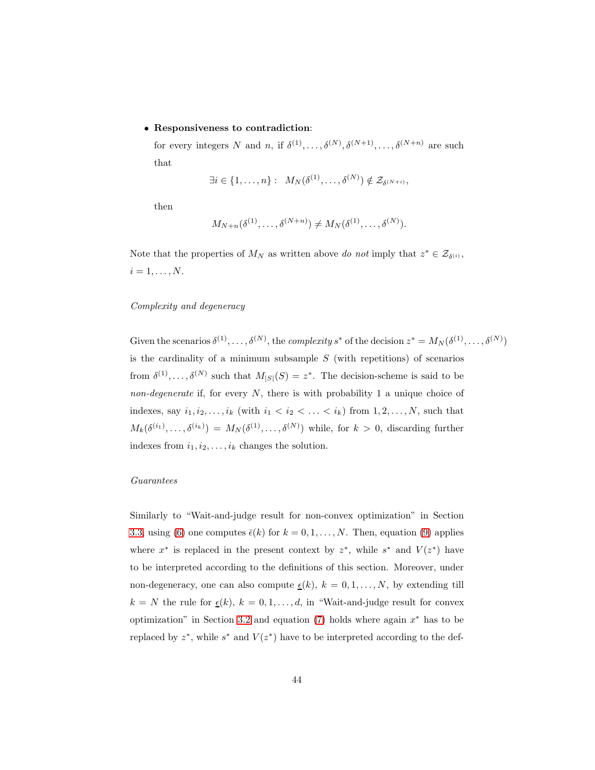#### Responsiveness to contradiction:

for every integers N and n, if  $\delta^{(1)}, \ldots, \delta^{(N)}, \delta^{(N+1)}, \ldots, \delta^{(N+n)}$  are such that

$$
\exists i \in \{1,\ldots,n\} : M_N(\delta^{(1)},\ldots,\delta^{(N)}) \notin \mathcal{Z}_{\delta^{(N+i)}},
$$

then

$$
M_{N+n}(\delta^{(1)},\ldots,\delta^{(N+n)})\neq M_{N}(\delta^{(1)},\ldots,\delta^{(N)}).
$$

Note that the properties of  $M_N$  as written above do not imply that  $z^* \in \mathcal{Z}_{\delta^{(i)}},$  $i=1,\ldots,N.$ 

### Complexity and degeneracy

Given the scenarios  $\delta^{(1)}, \ldots, \delta^{(N)}$ , the *complexity* s<sup>\*</sup> of the decision  $z^* = M_N(\delta^{(1)}, \ldots, \delta^{(N)})$ is the cardinality of a minimum subsample  $S$  (with repetitions) of scenarios from  $\delta^{(1)}, \ldots, \delta^{(N)}$  such that  $M_{|S|}(S) = z^*$ . The decision-scheme is said to be non-degenerate if, for every  $N$ , there is with probability 1 a unique choice of indexes, say  $i_1, i_2, \ldots, i_k$  (with  $i_1 < i_2 < \ldots < i_k$ ) from  $1, 2, \ldots, N$ , such that  $M_k(\delta^{(i_1)},\ldots,\delta^{(i_k)}) = M_N(\delta^{(1)},\ldots,\delta^{(N)})$  while, for  $k > 0$ , discarding further indexes from  $i_1, i_2, \ldots, i_k$  changes the solution.

## Guarantees

Similarly to "Wait-and-judge result for non-convex optimization" in Section [3.3,](#page-37-0) using [\(6\)](#page-36-0) one computes  $\bar{\epsilon}(k)$  for  $k = 0, 1, ..., N$ . Then, equation [\(9\)](#page-38-1) applies where  $x^*$  is replaced in the present context by  $z^*$ , while  $s^*$  and  $V(z^*)$  have to be interpreted according to the definitions of this section. Moreover, under non-degeneracy, one can also compute  $\underline{\epsilon}(k)$ ,  $k = 0, 1, ..., N$ , by extending till  $k = N$  the rule for  $\underline{\epsilon}(k)$ ,  $k = 0, 1, ..., d$ , in "Wait-and-judge result for convex optimization" in Section [3.2](#page-30-1) and equation  $(7)$  holds where again  $x^*$  has to be replaced by  $z^*$ , while  $s^*$  and  $V(z^*)$  have to be interpreted according to the def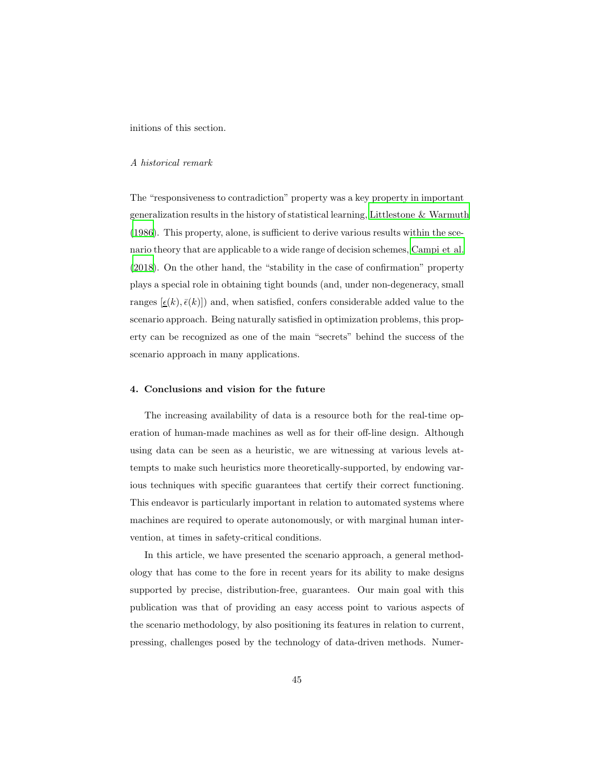initions of this section.

#### A historical remark

The "responsiveness to contradiction" property was a key property in important generalization results in the history of statistical learning, [Littlestone & Warmuth](#page-55-5) [\(1986\)](#page-55-5). This property, alone, is sufficient to derive various results within the scenario theory that are applicable to a wide range of decision schemes, [Campi et al.](#page-50-7) [\(2018\)](#page-50-7). On the other hand, the "stability in the case of confirmation" property plays a special role in obtaining tight bounds (and, under non-degeneracy, small ranges  $[\epsilon(k), \bar{\epsilon}(k)]$  and, when satisfied, confers considerable added value to the scenario approach. Being naturally satisfied in optimization problems, this property can be recognized as one of the main "secrets" behind the success of the scenario approach in many applications.

#### <span id="page-44-0"></span>4. Conclusions and vision for the future

The increasing availability of data is a resource both for the real-time operation of human-made machines as well as for their off-line design. Although using data can be seen as a heuristic, we are witnessing at various levels attempts to make such heuristics more theoretically-supported, by endowing various techniques with specific guarantees that certify their correct functioning. This endeavor is particularly important in relation to automated systems where machines are required to operate autonomously, or with marginal human intervention, at times in safety-critical conditions.

In this article, we have presented the scenario approach, a general methodology that has come to the fore in recent years for its ability to make designs supported by precise, distribution-free, guarantees. Our main goal with this publication was that of providing an easy access point to various aspects of the scenario methodology, by also positioning its features in relation to current, pressing, challenges posed by the technology of data-driven methods. Numer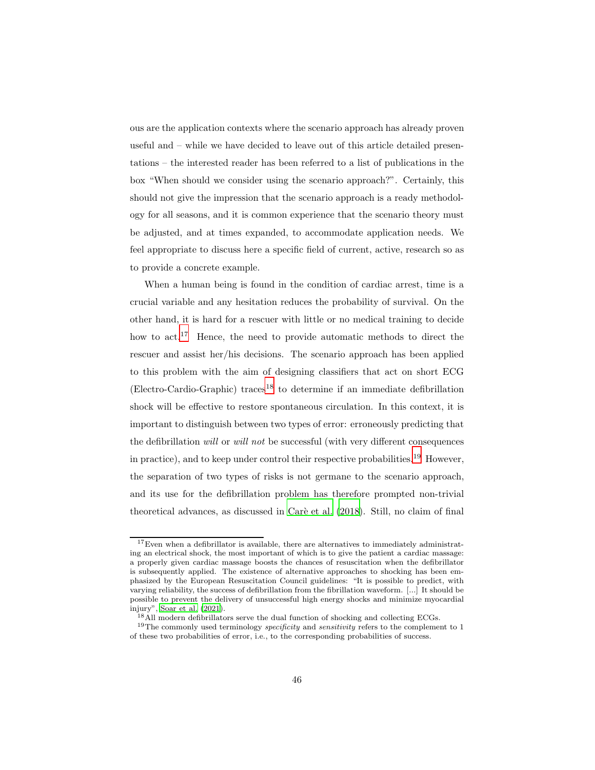ous are the application contexts where the scenario approach has already proven useful and – while we have decided to leave out of this article detailed presentations – the interested reader has been referred to a list of publications in the box "When should we consider using the scenario approach?". Certainly, this should not give the impression that the scenario approach is a ready methodology for all seasons, and it is common experience that the scenario theory must be adjusted, and at times expanded, to accommodate application needs. We feel appropriate to discuss here a specific field of current, active, research so as to provide a concrete example.

When a human being is found in the condition of cardiac arrest, time is a crucial variable and any hesitation reduces the probability of survival. On the other hand, it is hard for a rescuer with little or no medical training to decide how to act.<sup>17</sup> Hence, the need to provide automatic methods to direct the rescuer and assist her/his decisions. The scenario approach has been applied to this problem with the aim of designing classifiers that act on short ECG  $(Electro-Cardio-Graphic) traces<sup>18</sup>$  to determine if an immediate defibrillation shock will be effective to restore spontaneous circulation. In this context, it is important to distinguish between two types of error: erroneously predicting that the defibrillation will or will not be successful (with very different consequences in practice), and to keep under control their respective probabilities.<sup>19</sup> However, the separation of two types of risks is not germane to the scenario approach, and its use for the defibrillation problem has therefore prompted non-trivial theoretical advances, as discussed in Carè et al. (2018). Still, no claim of final

 $^{17}\mathrm{Even}$  when a defibrillator is available, there are alternatives to immediately administrating an electrical shock, the most important of which is to give the patient a cardiac massage: a properly given cardiac massage boosts the chances of resuscitation when the defibrillator is subsequently applied. The existence of alternative approaches to shocking has been emphasized by the European Resuscitation Council guidelines: "It is possible to predict, with varying reliability, the success of defibrillation from the fibrillation waveform. [...] It should be possible to prevent the delivery of unsuccessful high energy shocks and minimize myocardial injury", [Soar et al. \(2021](#page-58-7)).

<sup>&</sup>lt;sup>18</sup>All modern defibrillators serve the dual function of shocking and collecting ECGs.

<sup>19</sup>The commonly used terminology *specificity* and *sensitivity* refers to the complement to 1 of these two probabilities of error, i.e., to the corresponding probabilities of success.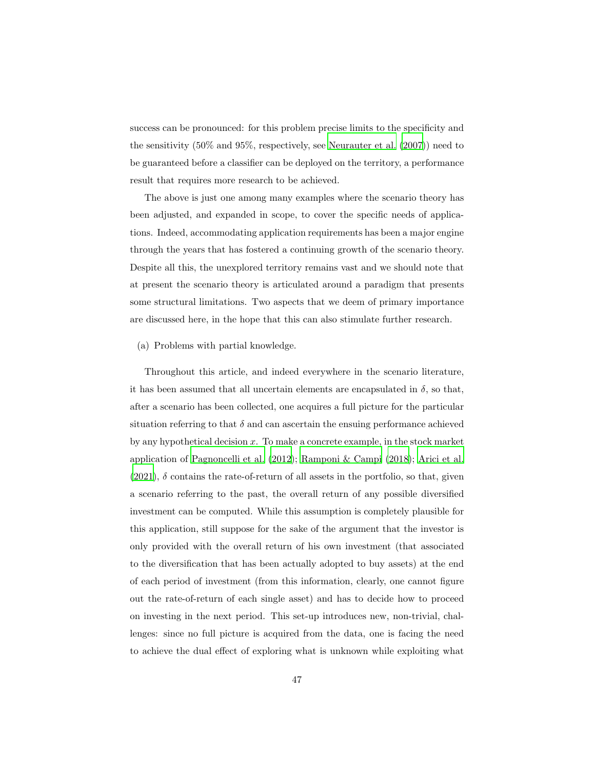success can be pronounced: for this problem precise limits to the specificity and the sensitivity (50% and 95%, respectively, see [Neurauter et al. \(2007\)](#page-56-6)) need to be guaranteed before a classifier can be deployed on the territory, a performance result that requires more research to be achieved.

The above is just one among many examples where the scenario theory has been adjusted, and expanded in scope, to cover the specific needs of applications. Indeed, accommodating application requirements has been a major engine through the years that has fostered a continuing growth of the scenario theory. Despite all this, the unexplored territory remains vast and we should note that at present the scenario theory is articulated around a paradigm that presents some structural limitations. Two aspects that we deem of primary importance are discussed here, in the hope that this can also stimulate further research.

(a) Problems with partial knowledge.

Throughout this article, and indeed everywhere in the scenario literature, it has been assumed that all uncertain elements are encapsulated in  $\delta$ , so that, after a scenario has been collected, one acquires a full picture for the particular situation referring to that  $\delta$  and can ascertain the ensuing performance achieved by any hypothetical decision  $x$ . To make a concrete example, in the stock market application of [Pagnoncelli et al. \(2012\)](#page-56-3); [Ramponi & Campi \(2018\)](#page-57-3); [Arici et al.](#page-48-4) [\(2021\)](#page-48-4),  $\delta$  contains the rate-of-return of all assets in the portfolio, so that, given a scenario referring to the past, the overall return of any possible diversified investment can be computed. While this assumption is completely plausible for this application, still suppose for the sake of the argument that the investor is only provided with the overall return of his own investment (that associated to the diversification that has been actually adopted to buy assets) at the end of each period of investment (from this information, clearly, one cannot figure out the rate-of-return of each single asset) and has to decide how to proceed on investing in the next period. This set-up introduces new, non-trivial, challenges: since no full picture is acquired from the data, one is facing the need to achieve the dual effect of exploring what is unknown while exploiting what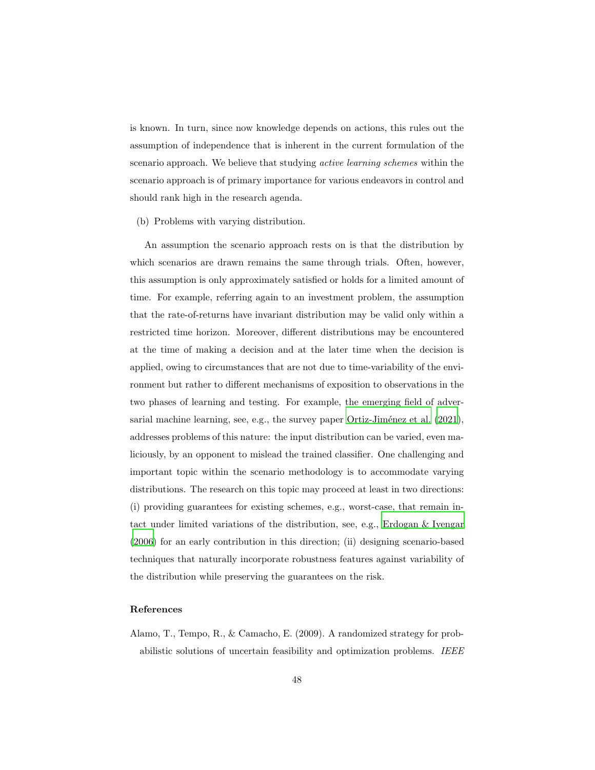is known. In turn, since now knowledge depends on actions, this rules out the assumption of independence that is inherent in the current formulation of the scenario approach. We believe that studying active learning schemes within the scenario approach is of primary importance for various endeavors in control and should rank high in the research agenda.

(b) Problems with varying distribution.

An assumption the scenario approach rests on is that the distribution by which scenarios are drawn remains the same through trials. Often, however, this assumption is only approximately satisfied or holds for a limited amount of time. For example, referring again to an investment problem, the assumption that the rate-of-returns have invariant distribution may be valid only within a restricted time horizon. Moreover, different distributions may be encountered at the time of making a decision and at the later time when the decision is applied, owing to circumstances that are not due to time-variability of the environment but rather to different mechanisms of exposition to observations in the two phases of learning and testing. For example, the emerging field of adver-sarial machine learning, see, e.g., the survey paper Ortiz-Jiménez et al. [\(2021\)](#page-56-7), addresses problems of this nature: the input distribution can be varied, even maliciously, by an opponent to mislead the trained classifier. One challenging and important topic within the scenario methodology is to accommodate varying distributions. The research on this topic may proceed at least in two directions: (i) providing guarantees for existing schemes, e.g., worst-case, that remain intact under limited variations of the distribution, see, e.g., [Erdogan &](#page-51-7) Iyengar [\(2006\)](#page-51-7) for an early contribution in this direction; (ii) designing scenario-based techniques that naturally incorporate robustness features against variability of the distribution while preserving the guarantees on the risk.

## References

<span id="page-47-0"></span>Alamo, T., Tempo, R., & Camacho, E. (2009). A randomized strategy for probabilistic solutions of uncertain feasibility and optimization problems. IEEE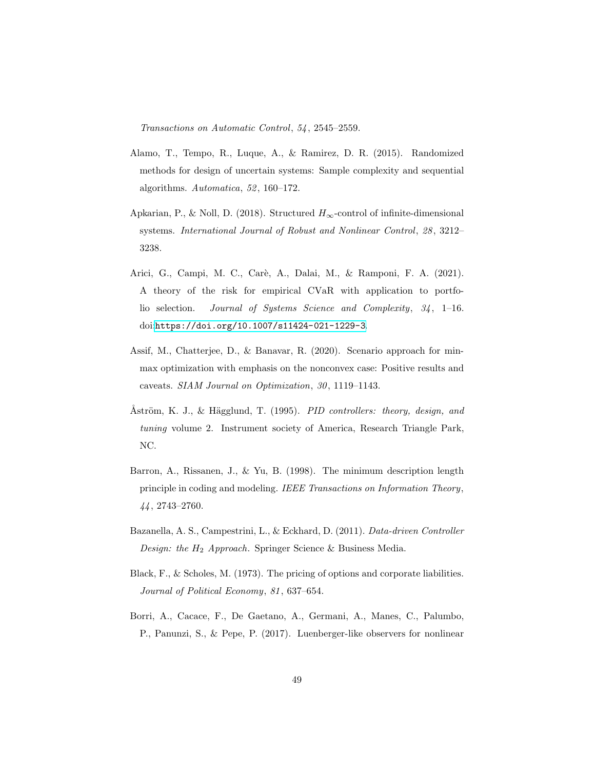Transactions on Automatic Control, 54, 2545–2559.

- <span id="page-48-6"></span>Alamo, T., Tempo, R., Luque, A., & Ramirez, D. R. (2015). Randomized methods for design of uncertain systems: Sample complexity and sequential algorithms. Automatica, 52, 160–172.
- <span id="page-48-2"></span>Apkarian, P., & Noll, D. (2018). Structured  $H_{\infty}$ -control of infinite-dimensional systems. International Journal of Robust and Nonlinear Control, 28, 3212– 3238.
- <span id="page-48-4"></span>Arici, G., Campi, M. C., Carè, A., Dalai, M., & Ramponi, F. A. (2021). A theory of the risk for empirical CVaR with application to portfolio selection. Journal of Systems Science and Complexity, 34, 1–16. doi:[https://doi.org/10.1007/s11424-021-1229-3](http://dx.doi.org/https://doi.org/10.1007/s11424-021-1229-3).
- <span id="page-48-8"></span>Assif, M., Chatterjee, D., & Banavar, R. (2020). Scenario approach for minmax optimization with emphasis on the nonconvex case: Positive results and caveats. SIAM Journal on Optimization, 30, 1119–1143.
- <span id="page-48-0"></span>Åström, K. J., & Hägglund, T. (1995). PID controllers: theory, design, and tuning volume 2. Instrument society of America, Research Triangle Park, NC.
- <span id="page-48-7"></span>Barron, A., Rissanen, J., & Yu, B. (1998). The minimum description length principle in coding and modeling. IEEE Transactions on Information Theory, 44, 2743–2760.
- <span id="page-48-1"></span>Bazanella, A. S., Campestrini, L., & Eckhard, D. (2011). Data-driven Controller *Design: the*  $H_2$  *Approach.* Springer Science & Business Media.
- <span id="page-48-5"></span>Black, F., & Scholes, M. (1973). The pricing of options and corporate liabilities. Journal of Political Economy, 81, 637–654.
- <span id="page-48-3"></span>Borri, A., Cacace, F., De Gaetano, A., Germani, A., Manes, C., Palumbo, P., Panunzi, S., & Pepe, P. (2017). Luenberger-like observers for nonlinear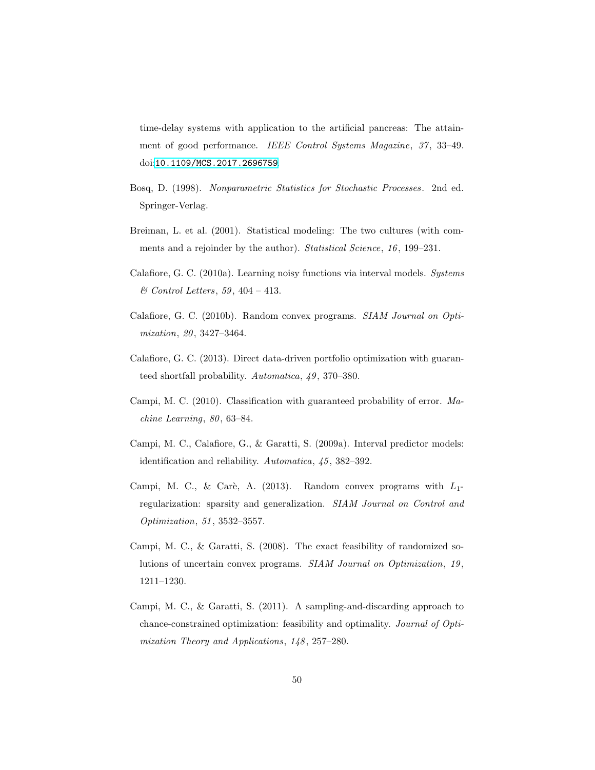time-delay systems with application to the artificial pancreas: The attainment of good performance. IEEE Control Systems Magazine, 37, 33–49. doi:[10.1109/MCS.2017.2696759](http://dx.doi.org/10.1109/MCS.2017.2696759).

- <span id="page-49-3"></span>Bosq, D. (1998). Nonparametric Statistics for Stochastic Processes. 2nd ed. Springer-Verlag.
- <span id="page-49-0"></span>Breiman, L. et al. (2001). Statistical modeling: The two cultures (with comments and a rejoinder by the author). Statistical Science, 16, 199–231.
- <span id="page-49-6"></span>Calafiore, G. C. (2010a). Learning noisy functions via interval models. Systems  $\mathcal C$  Control Letters, 59, 404 – 413.
- <span id="page-49-5"></span>Calafiore, G. C. (2010b). Random convex programs. SIAM Journal on Optimization, 20, 3427–3464.
- <span id="page-49-1"></span>Calafiore, G. C. (2013). Direct data-driven portfolio optimization with guaranteed shortfall probability. Automatica, 49, 370–380.
- <span id="page-49-7"></span>Campi, M. C. (2010). Classification with guaranteed probability of error. Machine Learning, 80, 63–84.
- <span id="page-49-2"></span>Campi, M. C., Calafiore, G., & Garatti, S. (2009a). Interval predictor models: identification and reliability. Automatica, 45, 382–392.
- <span id="page-49-8"></span>Campi, M. C., & Carè, A. (2013). Random convex programs with  $L_1$ regularization: sparsity and generalization. SIAM Journal on Control and Optimization, 51, 3532–3557.
- <span id="page-49-4"></span>Campi, M. C., & Garatti, S. (2008). The exact feasibility of randomized solutions of uncertain convex programs. SIAM Journal on Optimization, 19, 1211–1230.
- <span id="page-49-9"></span>Campi, M. C., & Garatti, S. (2011). A sampling-and-discarding approach to chance-constrained optimization: feasibility and optimality. Journal of Optimization Theory and Applications, 148, 257–280.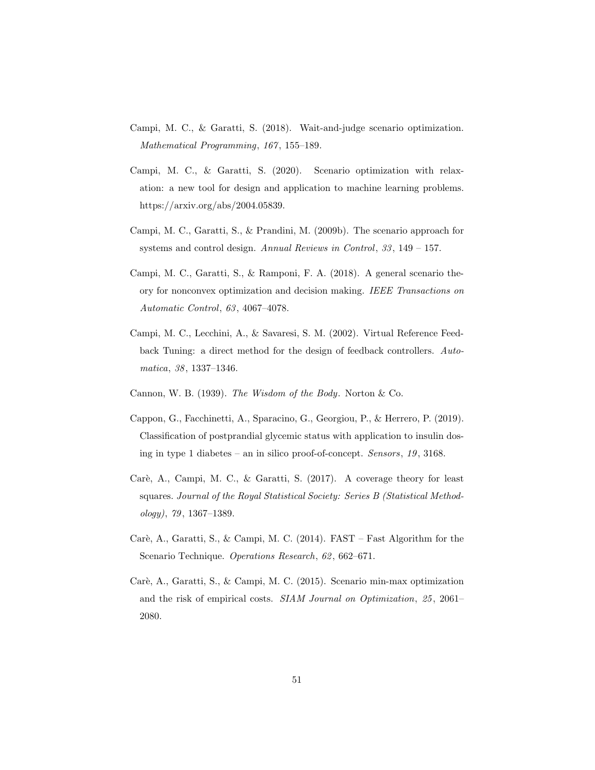- <span id="page-50-8"></span>Campi, M. C., & Garatti, S. (2018). Wait-and-judge scenario optimization. Mathematical Programming, 167, 155–189.
- <span id="page-50-9"></span>Campi, M. C., & Garatti, S. (2020). Scenario optimization with relaxation: a new tool for design and application to machine learning problems. https://arxiv.org/abs/2004.05839.
- <span id="page-50-5"></span>Campi, M. C., Garatti, S., & Prandini, M. (2009b). The scenario approach for systems and control design. Annual Reviews in Control, 33, 149 – 157.
- <span id="page-50-7"></span>Campi, M. C., Garatti, S., & Ramponi, F. A. (2018). A general scenario theory for nonconvex optimization and decision making. IEEE Transactions on Automatic Control, 63, 4067–4078.
- <span id="page-50-2"></span>Campi, M. C., Lecchini, A., & Savaresi, S. M. (2002). Virtual Reference Feedback Tuning: a direct method for the design of feedback controllers. Automatica, 38, 1337–1346.
- <span id="page-50-0"></span>Cannon, W. B. (1939). The Wisdom of the Body. Norton & Co.
- <span id="page-50-1"></span>Cappon, G., Facchinetti, A., Sparacino, G., Georgiou, P., & Herrero, P. (2019). Classification of postprandial glycemic status with application to insulin dosing in type 1 diabetes – an in silico proof-of-concept. Sensors, 19, 3168.
- <span id="page-50-6"></span>Carè, A., Campi, M. C., & Garatti, S. (2017). A coverage theory for least squares. Journal of the Royal Statistical Society: Series B (Statistical Methodology), 79, 1367–1389.
- <span id="page-50-4"></span>Carè, A., Garatti, S., & Campi, M. C. (2014). FAST – Fast Algorithm for the Scenario Technique. Operations Research, 62, 662–671.
- <span id="page-50-3"></span>Carè, A., Garatti, S., & Campi, M. C. (2015). Scenario min-max optimization and the risk of empirical costs. SIAM Journal on Optimization, 25, 2061– 2080.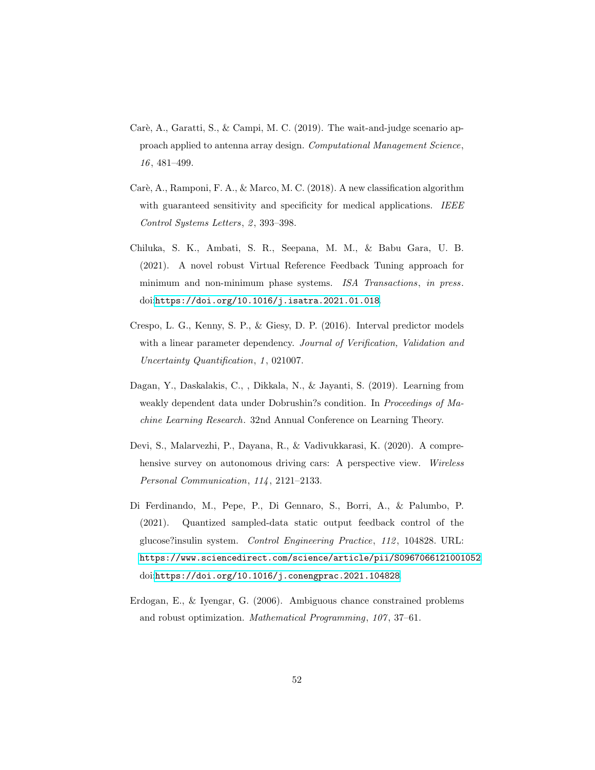- <span id="page-51-4"></span>Carè, A., Garatti, S., & Campi, M. C. (2019). The wait-and-judge scenario approach applied to antenna array design. Computational Management Science, 16, 481–499.
- <span id="page-51-3"></span>Carè, A., Ramponi, F. A., & Marco, M. C. (2018). A new classification algorithm with guaranteed sensitivity and specificity for medical applications. IEEE Control Systems Letters, 2, 393–398.
- <span id="page-51-1"></span>Chiluka, S. K., Ambati, S. R., Seepana, M. M., & Babu Gara, U. B. (2021). A novel robust Virtual Reference Feedback Tuning approach for minimum and non-minimum phase systems. ISA Transactions, in press. doi:[https://doi.org/10.1016/j.isatra.2021.01.018](http://dx.doi.org/https://doi.org/10.1016/j.isatra.2021.01.018).
- <span id="page-51-6"></span>Crespo, L. G., Kenny, S. P., & Giesy, D. P. (2016). Interval predictor models with a linear parameter dependency. Journal of Verification, Validation and Uncertainty Quantification, 1, 021007.
- <span id="page-51-5"></span>Dagan, Y., Daskalakis, C., , Dikkala, N., & Jayanti, S. (2019). Learning from weakly dependent data under Dobrushin?s condition. In Proceedings of Machine Learning Research. 32nd Annual Conference on Learning Theory.
- <span id="page-51-0"></span>Devi, S., Malarvezhi, P., Dayana, R., & Vadivukkarasi, K. (2020). A comprehensive survey on autonomous driving cars: A perspective view. Wireless Personal Communication, 114, 2121–2133.
- <span id="page-51-2"></span>Di Ferdinando, M., Pepe, P., Di Gennaro, S., Borri, A., & Palumbo, P. (2021). Quantized sampled-data static output feedback control of the glucose?insulin system. Control Engineering Practice, 112, 104828. URL: <https://www.sciencedirect.com/science/article/pii/S0967066121001052>. doi:[https://doi.org/10.1016/j.conengprac.2021.104828](http://dx.doi.org/https://doi.org/10.1016/j.conengprac.2021.104828).
- <span id="page-51-7"></span>Erdogan, E., & Iyengar, G. (2006). Ambiguous chance constrained problems and robust optimization. Mathematical Programming, 107, 37–61.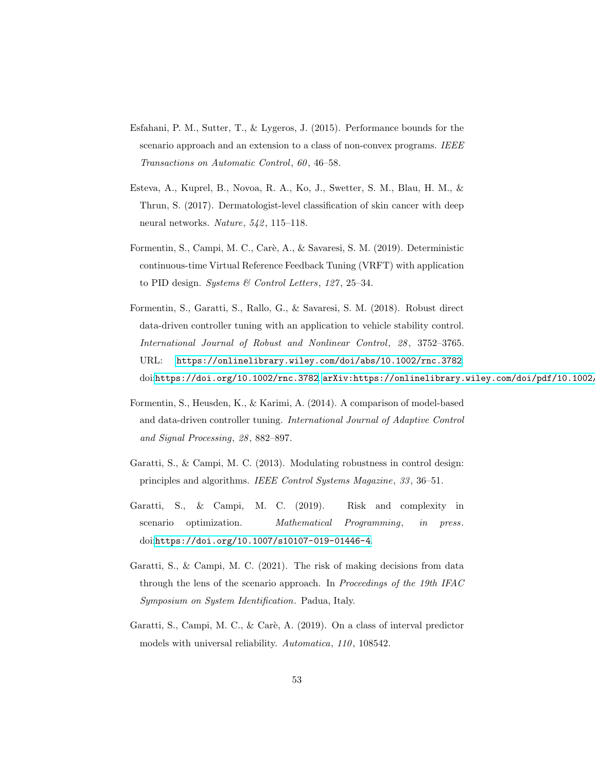- <span id="page-52-6"></span>Esfahani, P. M., Sutter, T., & Lygeros, J. (2015). Performance bounds for the scenario approach and an extension to a class of non-convex programs. IEEE Transactions on Automatic Control, 60, 46–58.
- <span id="page-52-0"></span>Esteva, A., Kuprel, B., Novoa, R. A., Ko, J., Swetter, S. M., Blau, H. M., & Thrun, S. (2017). Dermatologist-level classification of skin cancer with deep neural networks. Nature, 542, 115–118.
- <span id="page-52-2"></span>Formentin, S., Campi, M. C., Carè, A., & Savaresi, S. M. (2019). Deterministic continuous-time Virtual Reference Feedback Tuning (VRFT) with application to PID design. Systems & Control Letters, 127, 25-34.
- <span id="page-52-3"></span>Formentin, S., Garatti, S., Rallo, G., & Savaresi, S. M. (2018). Robust direct data-driven controller tuning with an application to vehicle stability control. International Journal of Robust and Nonlinear Control, 28, 3752–3765. URL: <https://onlinelibrary.wiley.com/doi/abs/10.1002/rnc.3782>. doi:[https://doi.org/10.1002/rnc.3782](http://dx.doi.org/https://doi.org/10.1002/rnc.3782). [arXiv:https://onlinelibrary.wiley.com/doi/pdf/10.1002/](http://arxiv.org/abs/https://onlinelibrary.wiley.com/doi/pdf/10.1002/rnc.3782)
- <span id="page-52-1"></span>Formentin, S., Heusden, K., & Karimi, A. (2014). A comparison of model-based and data-driven controller tuning. International Journal of Adaptive Control and Signal Processing, 28, 882–897.
- <span id="page-52-8"></span>Garatti, S., & Campi, M. C. (2013). Modulating robustness in control design: principles and algorithms. IEEE Control Systems Magazine, 33, 36–51.
- <span id="page-52-5"></span>Garatti, S., & Campi, M. C. (2019). Risk and complexity in scenario optimization. Mathematical Programming, in press. doi:[https://doi.org/10.1007/s10107-019-01446-4](http://dx.doi.org/https://doi.org/10.1007/s10107-019-01446-4).
- <span id="page-52-7"></span>Garatti, S., & Campi, M. C. (2021). The risk of making decisions from data through the lens of the scenario approach. In Proceedings of the 19th IFAC Symposium on System Identification. Padua, Italy.
- <span id="page-52-4"></span>Garatti, S., Campi, M. C., & Carè, A. (2019). On a class of interval predictor models with universal reliability. Automatica, 110, 108542.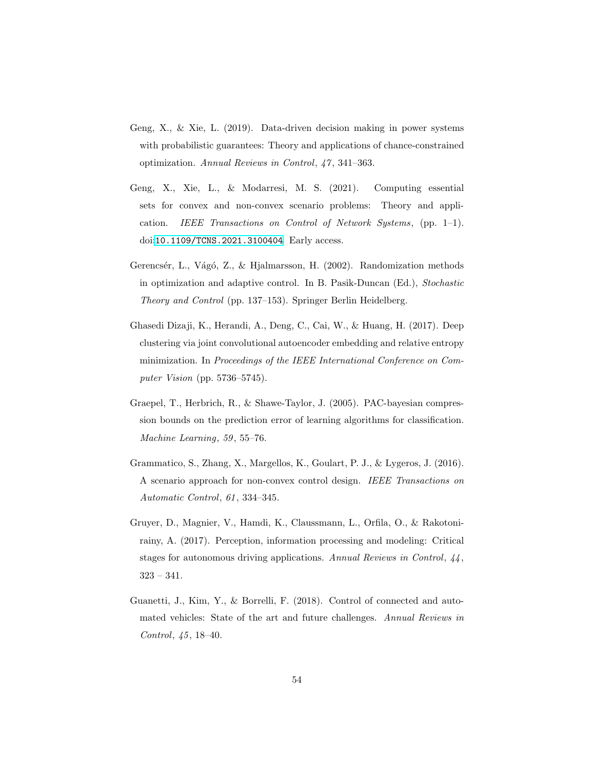- <span id="page-53-4"></span>Geng, X., & Xie, L. (2019). Data-driven decision making in power systems with probabilistic guarantees: Theory and applications of chance-constrained optimization. Annual Reviews in Control, 47, 341–363.
- <span id="page-53-5"></span>Geng, X., Xie, L., & Modarresi, M. S. (2021). Computing essential sets for convex and non-convex scenario problems: Theory and application. IEEE Transactions on Control of Network Systems, (pp. 1–1). doi:[10.1109/TCNS.2021.3100404](http://dx.doi.org/10.1109/TCNS.2021.3100404). Early access.
- <span id="page-53-2"></span>Gerencsér, L., Vágó, Z., & Hjalmarsson, H. (2002). Randomization methods in optimization and adaptive control. In B. Pasik-Duncan (Ed.), Stochastic Theory and Control (pp. 137–153). Springer Berlin Heidelberg.
- <span id="page-53-3"></span>Ghasedi Dizaji, K., Herandi, A., Deng, C., Cai, W., & Huang, H. (2017). Deep clustering via joint convolutional autoencoder embedding and relative entropy minimization. In Proceedings of the IEEE International Conference on Computer Vision (pp. 5736–5745).
- <span id="page-53-6"></span>Graepel, T., Herbrich, R., & Shawe-Taylor, J. (2005). PAC-bayesian compression bounds on the prediction error of learning algorithms for classification. Machine Learning, 59, 55–76.
- <span id="page-53-7"></span>Grammatico, S., Zhang, X., Margellos, K., Goulart, P. J., & Lygeros, J. (2016). A scenario approach for non-convex control design. IEEE Transactions on Automatic Control, 61, 334–345.
- <span id="page-53-1"></span>Gruyer, D., Magnier, V., Hamdi, K., Claussmann, L., Orfila, O., & Rakotonirainy, A. (2017). Perception, information processing and modeling: Critical stages for autonomous driving applications. Annual Reviews in Control, 44, 323 – 341.
- <span id="page-53-0"></span>Guanetti, J., Kim, Y., & Borrelli, F. (2018). Control of connected and automated vehicles: State of the art and future challenges. Annual Reviews in Control, 45, 18–40.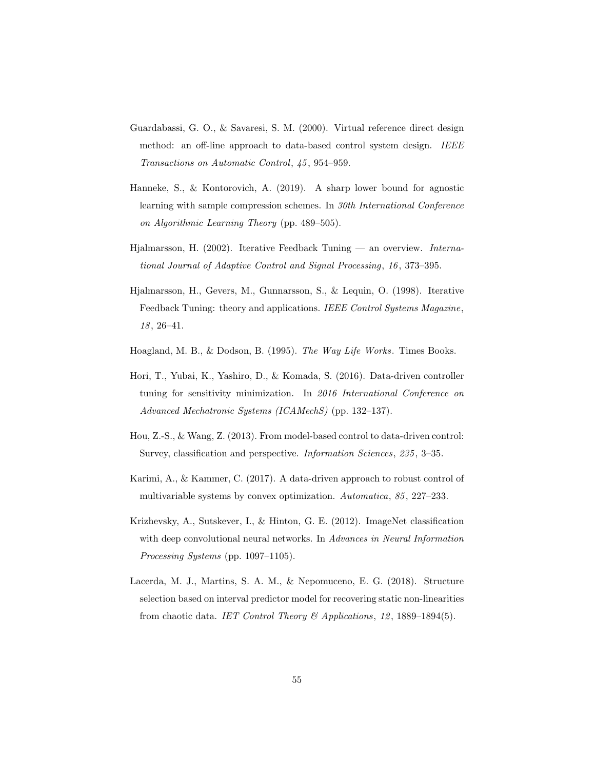- <span id="page-54-2"></span>Guardabassi, G. O., & Savaresi, S. M. (2000). Virtual reference direct design method: an off-line approach to data-based control system design. IEEE Transactions on Automatic Control, 45, 954–959.
- <span id="page-54-9"></span>Hanneke, S., & Kontorovich, A. (2019). A sharp lower bound for agnostic learning with sample compression schemes. In 30th International Conference on Algorithmic Learning Theory (pp. 489–505).
- <span id="page-54-3"></span>Hjalmarsson, H. (2002). Iterative Feedback Tuning — an overview. International Journal of Adaptive Control and Signal Processing, 16, 373–395.
- <span id="page-54-1"></span>Hjalmarsson, H., Gevers, M., Gunnarsson, S., & Lequin, O. (1998). Iterative Feedback Tuning: theory and applications. IEEE Control Systems Magazine, 18, 26–41.
- <span id="page-54-0"></span>Hoagland, M. B., & Dodson, B. (1995). The Way Life Works. Times Books.
- <span id="page-54-5"></span>Hori, T., Yubai, K., Yashiro, D., & Komada, S. (2016). Data-driven controller tuning for sensitivity minimization. In 2016 International Conference on Advanced Mechatronic Systems (ICAMechS) (pp. 132–137).
- <span id="page-54-4"></span>Hou, Z.-S., & Wang, Z. (2013). From model-based control to data-driven control: Survey, classification and perspective. Information Sciences, 235, 3–35.
- <span id="page-54-6"></span>Karimi, A., & Kammer, C. (2017). A data-driven approach to robust control of multivariable systems by convex optimization. Automatica, 85, 227–233.
- <span id="page-54-7"></span>Krizhevsky, A., Sutskever, I., & Hinton, G. E. (2012). ImageNet classification with deep convolutional neural networks. In Advances in Neural Information Processing Systems (pp. 1097–1105).
- <span id="page-54-8"></span>Lacerda, M. J., Martins, S. A. M., & Nepomuceno, E. G. (2018). Structure selection based on interval predictor model for recovering static non-linearities from chaotic data. IET Control Theory & Applications, 12, 1889–1894(5).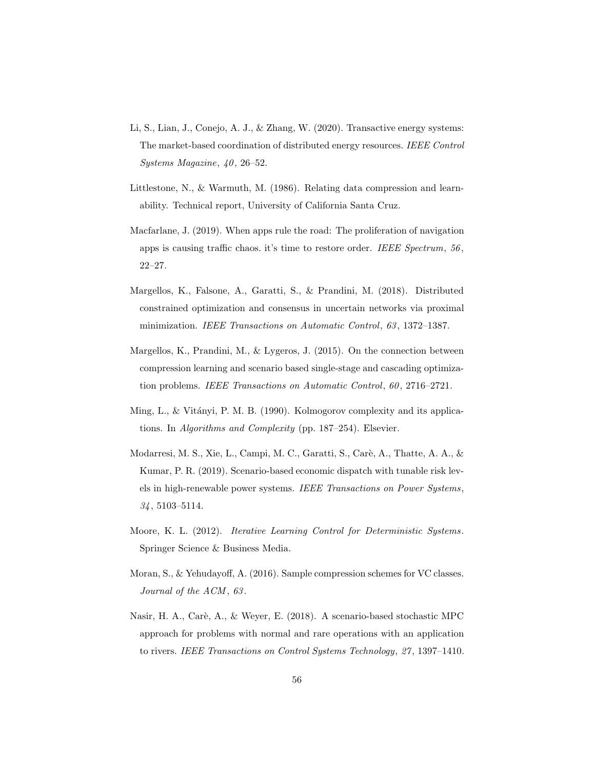- <span id="page-55-1"></span>Li, S., Lian, J., Conejo, A. J., & Zhang, W. (2020). Transactive energy systems: The market-based coordination of distributed energy resources. IEEE Control Systems Magazine, 40, 26–52.
- <span id="page-55-5"></span>Littlestone, N., & Warmuth, M. (1986). Relating data compression and learnability. Technical report, University of California Santa Cruz.
- <span id="page-55-0"></span>Macfarlane, J. (2019). When apps rule the road: The proliferation of navigation apps is causing traffic chaos. it's time to restore order. IEEE Spectrum, 56, 22–27.
- <span id="page-55-9"></span>Margellos, K., Falsone, A., Garatti, S., & Prandini, M. (2018). Distributed constrained optimization and consensus in uncertain networks via proximal minimization. IEEE Transactions on Automatic Control, 63, 1372–1387.
- <span id="page-55-8"></span>Margellos, K., Prandini, M., & Lygeros, J. (2015). On the connection between compression learning and scenario based single-stage and cascading optimization problems. IEEE Transactions on Automatic Control, 60, 2716–2721.
- <span id="page-55-6"></span>Ming, L., & Vitányi, P. M. B. (1990). Kolmogorov complexity and its applications. In Algorithms and Complexity (pp. 187–254). Elsevier.
- <span id="page-55-3"></span>Modarresi, M. S., Xie, L., Campi, M. C., Garatti, S., Carè, A., Thatte, A. A., & Kumar, P. R. (2019). Scenario-based economic dispatch with tunable risk levels in high-renewable power systems. IEEE Transactions on Power Systems, 34, 5103–5114.
- <span id="page-55-2"></span>Moore, K. L. (2012). Iterative Learning Control for Deterministic Systems. Springer Science & Business Media.
- <span id="page-55-7"></span>Moran, S., & Yehudayoff, A. (2016). Sample compression schemes for VC classes. Journal of the ACM, 63.
- <span id="page-55-4"></span>Nasir, H. A., Carè, A., & Weyer, E. (2018). A scenario-based stochastic MPC approach for problems with normal and rare operations with an application to rivers. IEEE Transactions on Control Systems Technology, 27, 1397–1410.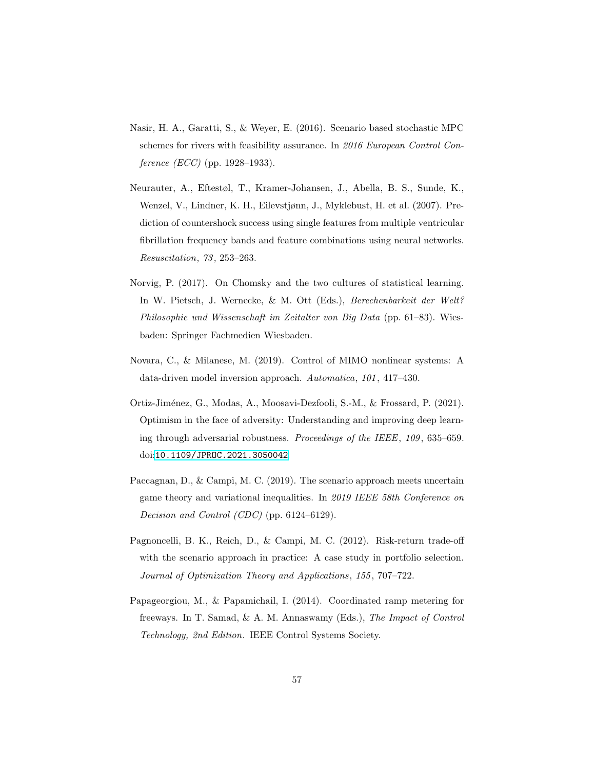- <span id="page-56-4"></span>Nasir, H. A., Garatti, S., & Weyer, E. (2016). Scenario based stochastic MPC schemes for rivers with feasibility assurance. In 2016 European Control Conference (ECC) (pp. 1928–1933).
- <span id="page-56-6"></span>Neurauter, A., Eftestøl, T., Kramer-Johansen, J., Abella, B. S., Sunde, K., Wenzel, V., Lindner, K. H., Eilevstjønn, J., Myklebust, H. et al. (2007). Prediction of countershock success using single features from multiple ventricular fibrillation frequency bands and feature combinations using neural networks. Resuscitation, 73, 253–263.
- <span id="page-56-2"></span>Norvig, P. (2017). On Chomsky and the two cultures of statistical learning. In W. Pietsch, J. Wernecke, & M. Ott (Eds.), Berechenbarkeit der Welt? Philosophie und Wissenschaft im Zeitalter von Big Data (pp. 61–83). Wiesbaden: Springer Fachmedien Wiesbaden.
- <span id="page-56-1"></span>Novara, C., & Milanese, M. (2019). Control of MIMO nonlinear systems: A data-driven model inversion approach. Automatica, 101, 417–430.
- <span id="page-56-7"></span>Ortiz-Jiménez, G., Modas, A., Moosavi-Dezfooli, S.-M., & Frossard, P. (2021). Optimism in the face of adversity: Understanding and improving deep learning through adversarial robustness. Proceedings of the IEEE, 109, 635–659. doi:[10.1109/JPROC.2021.3050042](http://dx.doi.org/10.1109/JPROC.2021.3050042).
- <span id="page-56-5"></span>Paccagnan, D., & Campi, M. C. (2019). The scenario approach meets uncertain game theory and variational inequalities. In 2019 IEEE 58th Conference on Decision and Control (CDC) (pp. 6124–6129).
- <span id="page-56-3"></span>Pagnoncelli, B. K., Reich, D., & Campi, M. C. (2012). Risk-return trade-off with the scenario approach in practice: A case study in portfolio selection. Journal of Optimization Theory and Applications, 155, 707–722.
- <span id="page-56-0"></span>Papageorgiou, M., & Papamichail, I. (2014). Coordinated ramp metering for freeways. In T. Samad, & A. M. Annaswamy (Eds.), The Impact of Control Technology, 2nd Edition. IEEE Control Systems Society.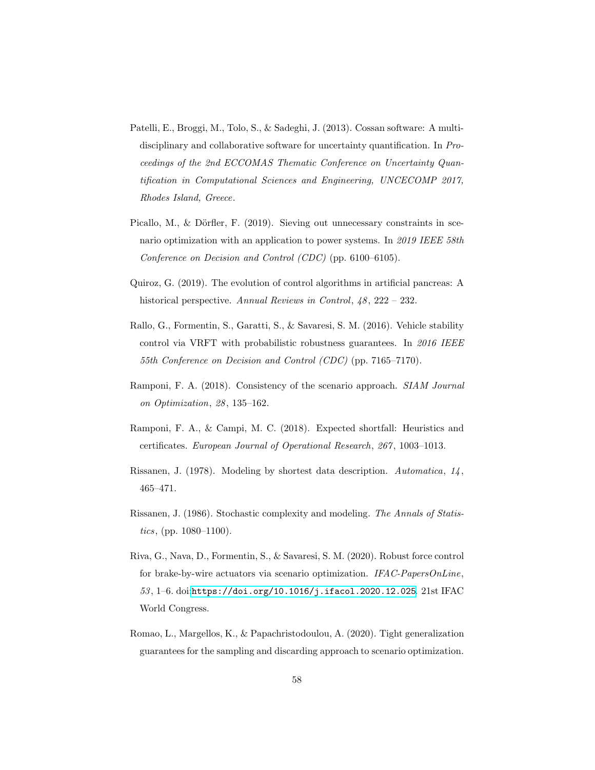- <span id="page-57-4"></span>Patelli, E., Broggi, M., Tolo, S., & Sadeghi, J. (2013). Cossan software: A multidisciplinary and collaborative software for uncertainty quantification. In Proceedings of the 2nd ECCOMAS Thematic Conference on Uncertainty Quantification in Computational Sciences and Engineering, UNCECOMP 2017, Rhodes Island, Greece.
- <span id="page-57-8"></span>Picallo, M., & Dörfler, F. (2019). Sieving out unnecessary constraints in scenario optimization with an application to power systems. In 2019 IEEE 58th Conference on Decision and Control (CDC) (pp. 6100–6105).
- <span id="page-57-0"></span>Quiroz, G. (2019). The evolution of control algorithms in artificial pancreas: A historical perspective. Annual Reviews in Control,  $48$ ,  $222 - 232$ .
- <span id="page-57-1"></span>Rallo, G., Formentin, S., Garatti, S., & Savaresi, S. M. (2016). Vehicle stability control via VRFT with probabilistic robustness guarantees. In 2016 IEEE 55th Conference on Decision and Control (CDC) (pp. 7165–7170).
- <span id="page-57-7"></span>Ramponi, F. A. (2018). Consistency of the scenario approach. SIAM Journal on Optimization, 28, 135–162.
- <span id="page-57-3"></span>Ramponi, F. A., & Campi, M. C. (2018). Expected shortfall: Heuristics and certificates. European Journal of Operational Research, 267, 1003–1013.
- <span id="page-57-5"></span>Rissanen, J. (1978). Modeling by shortest data description. Automatica, 14, 465–471.
- <span id="page-57-6"></span>Rissanen, J. (1986). Stochastic complexity and modeling. The Annals of Statistics, (pp. 1080–1100).
- <span id="page-57-2"></span>Riva, G., Nava, D., Formentin, S., & Savaresi, S. M. (2020). Robust force control for brake-by-wire actuators via scenario optimization. IFAC-PapersOnLine,  $53, 1-6$ . doi:[https://doi.org/10.1016/j.ifacol.2020.12.025](http://dx.doi.org/https://doi.org/10.1016/j.ifacol.2020.12.025). 21st IFAC World Congress.
- <span id="page-57-9"></span>Romao, L., Margellos, K., & Papachristodoulou, A. (2020). Tight generalization guarantees for the sampling and discarding approach to scenario optimization.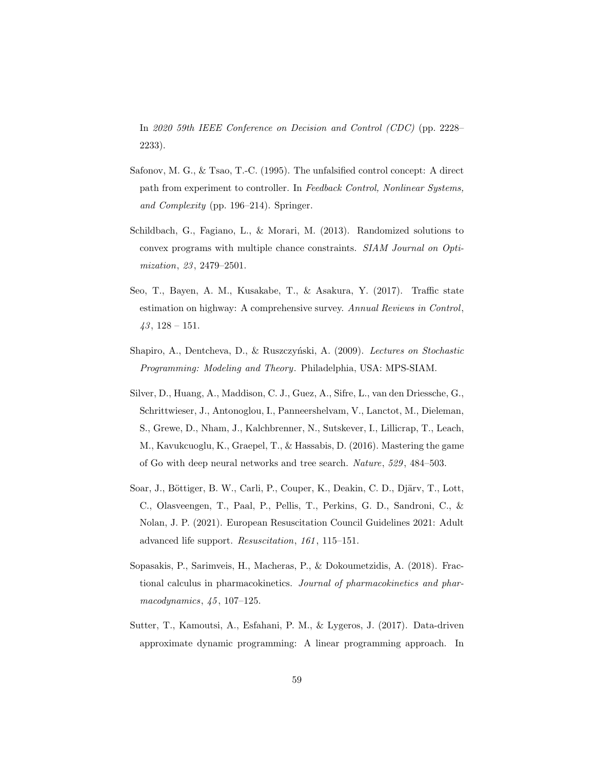In 2020 59th IEEE Conference on Decision and Control (CDC) (pp. 2228– 2233).

- <span id="page-58-1"></span>Safonov, M. G., & Tsao, T.-C. (1995). The unfalsified control concept: A direct path from experiment to controller. In Feedback Control, Nonlinear Systems, and Complexity (pp. 196–214). Springer.
- <span id="page-58-5"></span>Schildbach, G., Fagiano, L., & Morari, M. (2013). Randomized solutions to convex programs with multiple chance constraints. SIAM Journal on Optimization, 23, 2479–2501.
- <span id="page-58-0"></span>Seo, T., Bayen, A. M., Kusakabe, T., & Asakura, Y. (2017). Traffic state estimation on highway: A comprehensive survey. Annual Reviews in Control,  $43, 128 - 151.$
- <span id="page-58-6"></span>Shapiro, A., Dentcheva, D., & Ruszczyński, A. (2009). Lectures on Stochastic Programming: Modeling and Theory. Philadelphia, USA: MPS-SIAM.
- <span id="page-58-3"></span>Silver, D., Huang, A., Maddison, C. J., Guez, A., Sifre, L., van den Driessche, G., Schrittwieser, J., Antonoglou, I., Panneershelvam, V., Lanctot, M., Dieleman, S., Grewe, D., Nham, J., Kalchbrenner, N., Sutskever, I., Lillicrap, T., Leach, M., Kavukcuoglu, K., Graepel, T., & Hassabis, D. (2016). Mastering the game of Go with deep neural networks and tree search. Nature, 529, 484–503.
- <span id="page-58-7"></span>Soar, J., Böttiger, B. W., Carli, P., Couper, K., Deakin, C. D., Djärv, T., Lott, C., Olasveengen, T., Paal, P., Pellis, T., Perkins, G. D., Sandroni, C., & Nolan, J. P. (2021). European Resuscitation Council Guidelines 2021: Adult advanced life support. Resuscitation, 161, 115–151.
- <span id="page-58-4"></span>Sopasakis, P., Sarimveis, H., Macheras, P., & Dokoumetzidis, A. (2018). Fractional calculus in pharmacokinetics. Journal of pharmacokinetics and pharmacodynamics, 45, 107–125.
- <span id="page-58-2"></span>Sutter, T., Kamoutsi, A., Esfahani, P. M., & Lygeros, J. (2017). Data-driven approximate dynamic programming: A linear programming approach. In